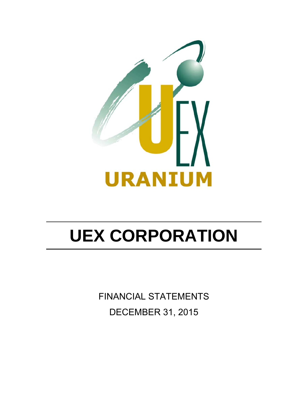

FINANCIAL STATEMENTS DECEMBER 31, 2015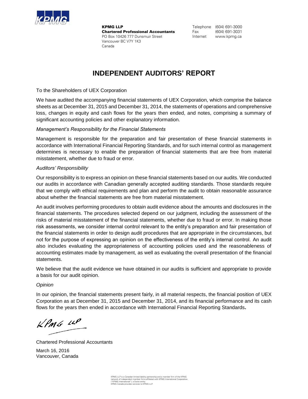

**KPMG LLP Chartered Professional Accountants** PO Box 10426 777 Dunsmuir Street Vancouver BC V7Y 1K3 Canada

Telephone (604) 691-3000 Fax (604) 691-3031 Internet www.kpmg.ca

### **INDEPENDENT AUDITORS' REPORT**

To the Shareholders of UEX Corporation

We have audited the accompanying financial statements of UEX Corporation, which comprise the balance sheets as at December 31, 2015 and December 31, 2014, the statements of operations and comprehensive loss, changes in equity and cash flows for the years then ended, and notes, comprising a summary of significant accounting policies and other explanatory information.

### *Management's Responsibility for the Financial Statements*

Management is responsible for the preparation and fair presentation of these financial statements in accordance with International Financial Reporting Standards, and for such internal control as management determines is necessary to enable the preparation of financial statements that are free from material misstatement, whether due to fraud or error.

### *Auditors' Responsibility*

Our responsibility is to express an opinion on these financial statements based on our audits. We conducted our audits in accordance with Canadian generally accepted auditing standards. Those standards require that we comply with ethical requirements and plan and perform the audit to obtain reasonable assurance about whether the financial statements are free from material misstatement.

An audit involves performing procedures to obtain audit evidence about the amounts and disclosures in the financial statements. The procedures selected depend on our judgment, including the assessment of the risks of material misstatement of the financial statements, whether due to fraud or error. In making those risk assessments, we consider internal control relevant to the entity's preparation and fair presentation of the financial statements in order to design audit procedures that are appropriate in the circumstances, but not for the purpose of expressing an opinion on the effectiveness of the entity's internal control. An audit also includes evaluating the appropriateness of accounting policies used and the reasonableness of accounting estimates made by management, as well as evaluating the overall presentation of the financial statements.

We believe that the audit evidence we have obtained in our audits is sufficient and appropriate to provide a basis for our audit opinion.

### *Opinion*

In our opinion, the financial statements present fairly, in all material respects, the financial position of UEX Corporation as at December 31, 2015 and December 31, 2014, and its financial performance and its cash flows for the years then ended in accordance with International Financial Reporting Standards**.**

 $k$ *PMG 14P* 

Chartered Professional Accountants March 16, 2016 Vancouver, Canada

KPMG LLP is a Canadian limited liability partnership and a member firm of the KPMG<br>network of independent member firms affliated with KPMG International Cooperative<br>("KPMG International"), a Swiss entity.<br>KPMG Canada provi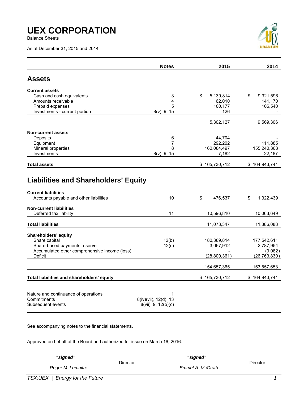Balance Sheets

As at December 31, 2015 and 2014



|                                                                                                                                                                                 | <b>Notes</b>                                      | 2015                                       | 2014                                                  |
|---------------------------------------------------------------------------------------------------------------------------------------------------------------------------------|---------------------------------------------------|--------------------------------------------|-------------------------------------------------------|
| <b>Assets</b>                                                                                                                                                                   |                                                   |                                            |                                                       |
| <b>Current assets</b><br>Cash and cash equivalents<br>Amounts receivable<br>Prepaid expenses                                                                                    | 3<br>4<br>5                                       | \$<br>5,139,814<br>62,010<br>100,177       | \$<br>9,321,596<br>141,170<br>106,540                 |
| Investments - current portion                                                                                                                                                   | $8(v)$ , 9, 15                                    | 126<br>5,302,127                           | 9,569,306                                             |
| <b>Non-current assets</b><br>Deposits<br>Equipment<br>Mineral properties<br>Investments                                                                                         | 6<br>7<br>8<br>$8(v)$ , 9, 15                     | 44,704<br>292,202<br>160,084,497<br>7,182  | 111,885<br>155,240,363<br>22,187                      |
| <b>Total assets</b>                                                                                                                                                             |                                                   | \$165,730,712                              | \$164,943,741                                         |
| <b>Liabilities and Shareholders' Equity</b><br><b>Current liabilities</b><br>Accounts payable and other liabilities<br><b>Non-current liabilities</b><br>Deferred tax liability | 10<br>11                                          | \$<br>476,537<br>10,596,810                | \$<br>1,322,439<br>10,063,649                         |
| <b>Total liabilities</b>                                                                                                                                                        |                                                   | 11,073,347                                 | 11,386,088                                            |
| Shareholders' equity<br>Share capital<br>Share-based payments reserve<br>Accumulated other comprehensive income (loss)<br>Deficit                                               | 12(b)<br>12(c)                                    | 180,389,814<br>3,067,912<br>(28, 800, 361) | 177,542,611<br>2,787,954<br>(9,082)<br>(26, 763, 830) |
|                                                                                                                                                                                 |                                                   | 154,657,365                                | 153,557,653                                           |
| Total liabilities and shareholders' equity<br>Nature and continuance of operations<br>Commitments<br>Subsequent events                                                          | 1<br>8(iv)(vii), 12(d), 13<br>8(vii), 9, 12(b)(c) | \$165,730,712                              | \$164,943,741                                         |

See accompanying notes to the financial statements.

Approved on behalf of the Board and authorized for issue on March 16, 2016.

| "signed"          |                 | "signed"         |          |
|-------------------|-----------------|------------------|----------|
|                   | <b>Director</b> |                  | Director |
| Roger M. Lemaitre |                 | Emmet A. McGrath |          |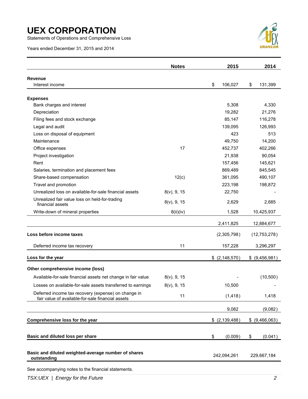Statements of Operations and Comprehensive Loss

Years ended December 31, 2015 and 2014



|                                                                                                          | <b>Notes</b>   | 2015             |            | 2014            |
|----------------------------------------------------------------------------------------------------------|----------------|------------------|------------|-----------------|
| Revenue                                                                                                  |                |                  |            |                 |
| Interest income                                                                                          |                | \$<br>106,027    | \$         | 131,399         |
| <b>Expenses</b>                                                                                          |                |                  |            |                 |
| Bank charges and interest                                                                                |                | 5,308            |            | 4,330           |
| Depreciation                                                                                             |                | 19,282           |            | 21,276          |
| Filing fees and stock exchange                                                                           |                | 85,147           |            | 116,278         |
| Legal and audit                                                                                          |                | 139,095          |            | 126,993         |
| Loss on disposal of equipment                                                                            |                | 423              |            | 513             |
| Maintenance                                                                                              |                | 49,750           |            | 14,200          |
| Office expenses                                                                                          | 17             | 452,737          |            | 402,266         |
| Project investigation                                                                                    |                | 21,938           |            | 90,054          |
| Rent                                                                                                     |                | 157,456          |            | 145,621         |
| Salaries, termination and placement fees                                                                 |                | 869,489          |            | 845,545         |
| Share-based compensation                                                                                 | 12(c)          | 361,095          |            | 490,107         |
| Travel and promotion                                                                                     |                | 223,198          |            | 198,872         |
| Unrealized loss on available-for-sale financial assets                                                   | $8(v)$ , 9, 15 | 22,750           |            |                 |
| Unrealized fair value loss on held-for-trading<br>financial assets                                       | $8(v)$ , 9, 15 | 2,629            |            | 2,685           |
| Write-down of mineral properties                                                                         | 8(ii)(iv)      | 1,528            | 10,425,937 |                 |
|                                                                                                          |                | 2,411,825        |            | 12,884,677      |
| Loss before income taxes                                                                                 |                | (2,305,798)      |            | (12,753,278)    |
| Deferred income tax recovery                                                                             | 11             | 157,228          |            | 3,296,297       |
| Loss for the year                                                                                        |                | \$ (2, 148, 570) |            | $$$ (9,456,981) |
| Other comprehensive income (loss)                                                                        |                |                  |            |                 |
| Available-for-sale financial assets net change in fair value                                             | $8(v)$ , 9, 15 |                  |            | (10, 500)       |
| Losses on available-for-sale assets transferred to earnings                                              | $8(v)$ , 9, 15 | 10,500           |            |                 |
| Deferred income tax recovery (expense) on change in<br>fair value of available-for-sale financial assets | 11             | (1, 418)         |            | 1,418           |
|                                                                                                          |                | 9,082            |            | (9,082)         |
| Comprehensive loss for the year                                                                          |                | $$$ (2,139,488)  |            | \$ (9,466,063)  |
|                                                                                                          |                |                  |            |                 |
| Basic and diluted loss per share                                                                         |                | \$<br>(0.009)    | \$         | (0.041)         |
| Basic and diluted weighted-average number of shares<br>outstanding                                       |                | 242,094,261      |            | 229,667,184     |

See accompanying notes to the financial statements.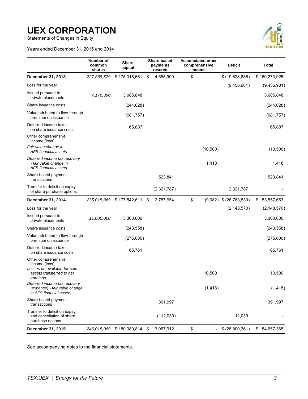Statements of Changes in Equity

Years ended December 31, 2015 and 2014



|                                                                                                               | Number of<br>common<br>shares | <b>Share</b><br>capital   | Share-based<br>payments<br>reserve | <b>Accumulated other</b><br>comprehensive<br>income | <b>Deficit</b>              | <b>Total</b>  |
|---------------------------------------------------------------------------------------------------------------|-------------------------------|---------------------------|------------------------------------|-----------------------------------------------------|-----------------------------|---------------|
| December 31, 2013                                                                                             | 227,838,679                   | \$175,316,661             | \$<br>4,585,900                    | \$                                                  | \$(19,628,636)              | \$160,273,925 |
| Loss for the year                                                                                             |                               |                           |                                    |                                                     | (9,456,981)                 | (9,456,981)   |
| Issued pursuant to<br>private placements                                                                      | 7,176,390                     | 3,085,848                 |                                    |                                                     |                             | 3,085,848     |
| Share issuance costs                                                                                          |                               | (244, 028)                |                                    |                                                     |                             | (244, 028)    |
| Value attributed to flow-through<br>premium on issuance                                                       |                               | (681, 757)                |                                    |                                                     |                             | (681, 757)    |
| Deferred income taxes<br>on share issuance costs                                                              |                               | 65,887                    |                                    |                                                     |                             | 65,887        |
| Other comprehensive<br>income (loss)                                                                          |                               |                           |                                    |                                                     |                             |               |
| Fair value change in<br>AFS financial assets                                                                  |                               |                           |                                    | (10, 500)                                           |                             | (10, 500)     |
| Deferred income tax recovery<br>- fair value change in<br>AFS financial assets                                |                               |                           |                                    | 1,418                                               |                             | 1,418         |
| Share-based payment<br>transactions                                                                           |                               |                           | 523,841                            |                                                     |                             | 523,841       |
| Transfer to deficit on expiry<br>of share purchase options                                                    |                               |                           | (2,321,787)                        |                                                     | 2,321,787                   |               |
| December 31, 2014                                                                                             |                               | 235,015,069 \$177,542,611 | \$<br>2,787,954                    | \$                                                  | $(9,082)$ \$ $(26,763,830)$ | \$153,557,653 |
| Loss for the year                                                                                             |                               |                           |                                    |                                                     | (2, 148, 570)               | (2, 148, 570) |
| Issued pursuant to<br>private placements                                                                      | 11,000,000                    | 3,300,000                 |                                    |                                                     |                             | 3,300,000     |
| Share issuance costs                                                                                          |                               | (243, 558)                |                                    |                                                     |                             | (243, 558)    |
| Value attributed to flow-through<br>premium on issuance                                                       |                               | (275,000)                 |                                    |                                                     |                             | (275,000)     |
| Deferred income taxes<br>on share issuance costs                                                              |                               | 65,761                    |                                    |                                                     |                             | 65,761        |
| Other comprehensive<br>income (loss)<br>Losses on available-for-sale<br>assets transferred to net<br>earnings |                               |                           |                                    | 10,500                                              |                             | 10,500        |
| Deferred income tax recovery<br>(expense) - fair value change<br>in AFS financial assets                      |                               |                           |                                    | (1, 418)                                            |                             | (1, 418)      |
| Share-based payment<br>transactions                                                                           |                               |                           | 391,997                            |                                                     |                             | 391,997       |
| Transfer to deficit on expiry<br>and cancellation of share<br>purchase options                                |                               |                           | (112,039)                          |                                                     | 112,039                     |               |
| December 31, 2015                                                                                             | 246,015,069                   | \$180,389,814             | \$<br>3,067,912                    | \$<br>$\blacksquare$                                | \$ (28,800,361)             | \$154,657,365 |

See accompanying notes to the financial statements.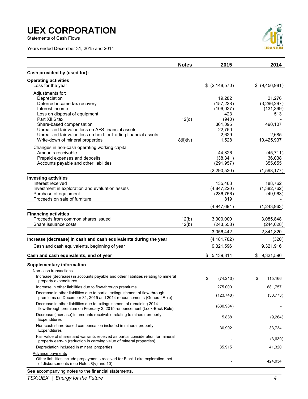Statements of Cash Flows

Years ended December 31, 2015 and 2014



|                                                                                                                                                       | <b>Notes</b>   | 2015                    | 2014                    |
|-------------------------------------------------------------------------------------------------------------------------------------------------------|----------------|-------------------------|-------------------------|
| Cash provided by (used for):                                                                                                                          |                |                         |                         |
| <b>Operating activities</b>                                                                                                                           |                |                         |                         |
| Loss for the year                                                                                                                                     |                | \$(2,148,570)           | $$$ (9,456,981)         |
| Adjustments for:                                                                                                                                      |                |                         |                         |
| Depreciation<br>Deferred income tax recovery                                                                                                          |                | 19,282<br>(157, 228)    | 21,276<br>(3, 296, 297) |
| Interest income                                                                                                                                       |                | (106, 027)              | (131, 399)              |
| Loss on disposal of equipment                                                                                                                         |                | 423                     | 513                     |
| Part XII.6 tax                                                                                                                                        | 12(d)          | (940)                   |                         |
| Share-based compensation                                                                                                                              |                | 361,095                 | 490,107                 |
| Unrealized fair value loss on AFS financial assets                                                                                                    |                | 22,750                  |                         |
| Unrealized fair value loss on held-for-trading financial assets                                                                                       |                | 2,629                   | 2,685                   |
| Write-down of mineral properties                                                                                                                      | 8(ii)(iv)      | 1,528                   | 10,425,937              |
| Changes in non-cash operating working capital<br>Amounts receivable                                                                                   |                |                         |                         |
| Prepaid expenses and deposits                                                                                                                         |                | 44,826<br>(38, 341)     | (45, 711)<br>36,038     |
| Accounts payable and other liabilities                                                                                                                |                | (291, 957)              | 355,655                 |
|                                                                                                                                                       |                | (2,290,530)             | (1,598,177)             |
| <b>Investing activities</b>                                                                                                                           |                |                         |                         |
| Interest received                                                                                                                                     |                | 135,463                 | 188,762                 |
| Investment in exploration and evaluation assets                                                                                                       |                | (4,847,220)             | (1,382,762)             |
| Purchase of equipment                                                                                                                                 |                | (236, 756)              | (49,963)                |
| Proceeds on sale of furniture                                                                                                                         |                | 819                     |                         |
|                                                                                                                                                       |                | (4,947,694)             | (1, 243, 963)           |
| <b>Financing activities</b>                                                                                                                           |                |                         |                         |
| Proceeds from common shares issued<br>Share issuance costs                                                                                            | 12(b)<br>12(b) | 3,300,000<br>(243, 558) | 3,085,848<br>(244, 028) |
|                                                                                                                                                       |                |                         |                         |
|                                                                                                                                                       |                | 3,056,442               | 2,841,820               |
| Increase (decrease) in cash and cash equivalents during the year                                                                                      |                | (4, 181, 782)           | (320)                   |
| Cash and cash equivalents, beginning of year                                                                                                          |                | 9,321,596               | 9,321,916               |
| Cash and cash equivalents, end of year                                                                                                                |                | \$5,139,814             | \$9,321,596             |
| <b>Supplementary information</b>                                                                                                                      |                |                         |                         |
| Non-cash transactions                                                                                                                                 |                |                         |                         |
| Increase (decrease) in accounts payable and other liabilities relating to mineral<br>property expenditures                                            |                | \$<br>(74, 213)         | \$<br>115,166           |
| Increase in other liabilities due to flow-through premiums                                                                                            |                | 275,000                 | 681,757                 |
| Decrease in other liabilities due to partial extinguishment of flow-through<br>premiums on December 31, 2015 and 2014 renouncements (General Rule)    |                | (123, 748)              | (50, 773)               |
| Decrease in other liabilities due to extinguishment of remaining 2014                                                                                 |                |                         |                         |
| flow-through premium on February 2, 2015 renouncement (Look-Back Rule)                                                                                |                | (630, 984)              |                         |
| Decrease (increase) in amounts receivable relating to mineral property<br>Expenditures                                                                |                | 5,838                   | (9,264)                 |
| Non-cash share-based compensation included in mineral property<br>Expenditures                                                                        |                | 30,902                  | 33,734                  |
| Fair value of shares and warrants received as partial consideration for mineral                                                                       |                |                         | (3,639)                 |
| property earn-in (reduction in carrying value of mineral properties)                                                                                  |                |                         |                         |
| Depreciation included in mineral properties                                                                                                           |                | 35,915                  | 41,320                  |
| <b>Advance payments</b><br>Other liabilities include prepayments received for Black Lake exploration, net<br>of disbursements (see Notes 8(v) and 10) |                |                         | 424,034                 |
| See accompanying notes to the financial statements.                                                                                                   |                |                         |                         |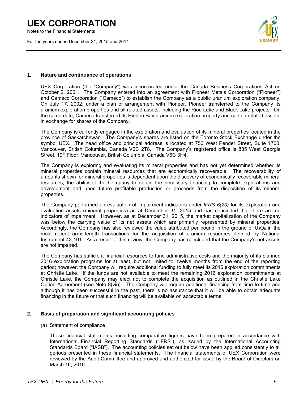Notes to the Financial Statements

For the years ended December 31, 2015 and 2014



### **1. Nature and continuance of operations**

UEX Corporation (the "Company") was incorporated under the Canada Business Corporations Act on October 2, 2001. The Company entered into an agreement with Pioneer Metals Corporation ("Pioneer") and Cameco Corporation ("Cameco") to establish the Company as a public uranium exploration company. On July 17, 2002, under a plan of arrangement with Pioneer, Pioneer transferred to the Company its uranium exploration properties and all related assets, including the Riou Lake and Black Lake projects. On the same date, Cameco transferred its Hidden Bay uranium exploration property and certain related assets, in exchange for shares of the Company.

The Company is currently engaged in the exploration and evaluation of its mineral properties located in the province of Saskatchewan. The Company's shares are listed on the Toronto Stock Exchange under the symbol UEX. The head office and principal address is located at 750 West Pender Street, Suite 1700, Vancouver, British Columbia, Canada V6C 2T8. The Company's registered office is 885 West Georgia Street, 19th Floor, Vancouver, British Columbia, Canada V6C 3H4.

The Company is exploring and evaluating its mineral properties and has not yet determined whether its mineral properties contain mineral resources that are economically recoverable. The recoverability of amounts shown for mineral properties is dependent upon the discovery of economically recoverable mineral resources, the ability of the Company to obtain the necessary financing to complete explorations and development and upon future profitable production or proceeds from the disposition of its mineral properties.

The Company performed an evaluation of impairment indicators under *IFRS 6(20)* for its exploration and evaluation assets (mineral properties) as at December 31, 2015 and has concluded that there are no indicators of impairment. However, as at December 31, 2015, the market capitalization of the Company was below the carrying value of its net assets which are primarily represented by mineral properties. Accordingly, the Company has also reviewed the value attributed per pound in the ground of  $U_3O_8$  in the most recent arms-length transactions for the acquisition of uranium resources defined by National Instrument 43-101. As a result of this review, the Company has concluded that the Company's net assets are not impaired.

The Company has sufficient financial resources to fund administrative costs and the majority of its planned 2016 exploration programs for at least, but not limited to, twelve months from the end of the reporting period; however, the Company will require additional funding to fully meet its 2016 exploration commitments at Christie Lake. If the funds are not available to meet the remaining 2016 exploration commitments at Christie Lake, the Company may elect not to complete the acquisition as outlined in the Christie Lake Option Agreement (see Note 8(vii)). The Company will require additional financing from time to time and although it has been successful in the past, there is no assurance that it will be able to obtain adequate financing in the future or that such financing will be available on acceptable terms.

### **2. Basis of preparation and significant accounting policies**

### (a) Statement of compliance

These financial statements, including comparative figures have been prepared in accordance with International Financial Reporting Standards ("IFRS"), as issued by the International Accounting Standards Board ("IASB"). The accounting policies set out below have been applied consistently to all periods presented in these financial statements. The financial statements of UEX Corporation were reviewed by the Audit Committee and approved and authorized for issue by the Board of Directors on March 16, 2016.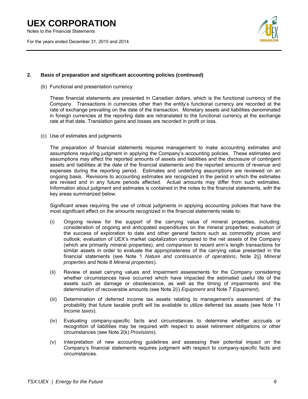Notes to the Financial Statements

For the years ended December 31, 2015 and 2014



### **2. Basis of preparation and significant accounting policies (continued)**

(b) Functional and presentation currency

These financial statements are presented in Canadian dollars, which is the functional currency of the Company. Transactions in currencies other than the entity's functional currency are recorded at the rate of exchange prevailing on the date of the transaction. Monetary assets and liabilities denominated in foreign currencies at the reporting date are retranslated to the functional currency at the exchange rate at that date. Translation gains and losses are recorded in profit or loss.

(c) Use of estimates and judgments

The preparation of financial statements requires management to make accounting estimates and assumptions requiring judgment in applying the Company's accounting policies. These estimates and assumptions may affect the reported amounts of assets and liabilities and the disclosure of contingent assets and liabilities at the date of the financial statements and the reported amounts of revenue and expenses during the reporting period. Estimates and underlying assumptions are reviewed on an ongoing basis. Revisions to accounting estimates are recognized in the period in which the estimates are revised and in any future periods affected. Actual amounts may differ from such estimates. Information about judgment and estimates is contained in the notes to the financial statements, with the key areas summarized below.

Significant areas requiring the use of critical judgments in applying accounting policies that have the most significant effect on the amounts recognized in the financial statements relate to:

- (i) Ongoing review for the support of the carrying value of mineral properties, including: consideration of ongoing and anticipated expenditures on the mineral properties; evaluation of the success of exploration to date and other general factors such as commodity prices and outlook; evaluation of UEX's market capitalization compared to the net assets of the Company (which are primarily mineral properties); and comparison to recent arm's length transactions for similar assets in order to evaluate the appropriateness of the carrying value presented in the financial statements (see Note 1 *Nature and continuance of operations*, Note 2(j) *Mineral properties* and Note 8 *Mineral properties*).
- (ii) Review of asset carrying values and impairment assessments for the Company considering whether circumstances have occurred which have impacted the estimated useful life of the assets such as damage or obsolescence, as well as the timing of impairments and the determination of recoverable amounts (see Note 2(i) *Equipment* and Note 7 *Equipment*).
- (iii) Determination of deferred income tax assets relating to management's assessment of the probability that future taxable profit will be available to utilize deferred tax assets (see Note 11 *Income taxes*).
- (iv) Evaluating company-specific facts and circumstances to determine whether accruals or recognition of liabilities may be required with respect to asset retirement obligations or other circumstances (see Note 2(k) *Provisions*).
- (v) Interpretation of new accounting guidelines and assessing their potential impact on the Company's financial statements requires judgment with respect to company-specific facts and circumstances.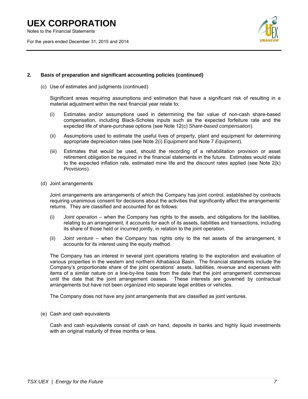Notes to the Financial Statements

For the years ended December 31, 2015 and 2014



### **2. Basis of preparation and significant accounting policies (continued)**

(c) Use of estimates and judgments (continued)

Significant areas requiring assumptions and estimation that have a significant risk of resulting in a material adjustment within the next financial year relate to:

- (i) Estimates and/or assumptions used in determining the fair value of non-cash share-based compensation, including Black-Scholes inputs such as the expected forfeiture rate and the expected life of share-purchase options (see Note 12(c) *Share-based compensation*).
- (ii) Assumptions used to estimate the useful lives of property, plant and equipment for determining appropriate depreciation rates (see Note 2(i) *Equipment* and Note 7 *Equipment*).
- (iii) Estimates that would be used, should the recording of a rehabilitation provision or asset retirement obligation be required in the financial statements in the future. Estimates would relate to the expected inflation rate, estimated mine life and the discount rates applied (see Note 2(k) *Provisions*).
- (d) Joint arrangements

Joint arrangements are arrangements of which the Company has joint control, established by contracts requiring unanimous consent for decisions about the activities that significantly affect the arrangements' returns. They are classified and accounted for as follows:

- (i) *Joint operation* when the Company has rights to the assets, and obligations for the liabilities, relating to an arrangement, it accounts for each of its assets, liabilities and transactions, including its share of those held or incurred jointly, in relation to the joint operation.
- (ii) *Joint venture* when the Company has rights only to the net assets of the arrangement, it accounts for its interest using the equity method.

The Company has an interest in several joint operations relating to the exploration and evaluation of various properties in the western and northern Athabasca Basin. The financial statements include the Company's proportionate share of the joint operations' assets, liabilities, revenue and expenses with items of a similar nature on a line-by-line basis from the date that the joint arrangement commences until the date that the joint arrangement ceases. These interests are governed by contractual arrangements but have not been organized into separate legal entities or vehicles.

The Company does not have any joint arrangements that are classified as joint ventures.

(e) Cash and cash equivalents

Cash and cash equivalents consist of cash on hand, deposits in banks and highly liquid investments with an original maturity of three months or less.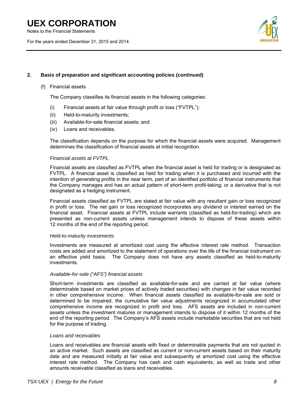Notes to the Financial Statements

For the years ended December 31, 2015 and 2014



### **2. Basis of preparation and significant accounting policies (continued)**

### (f) Financial assets

The Company classifies its financial assets in the following categories:

- (i) Financial assets at fair value through profit or loss ("FVTPL");
- (ii) Held-to-maturity investments;
- (iii) Available-for-sale financial assets; and
- (iv) Loans and receivables.

The classification depends on the purpose for which the financial assets were acquired. Management determines the classification of financial assets at initial recognition.

### *Financial assets at FVTPL*

Financial assets are classified as FVTPL when the financial asset is held for trading or is designated as FVTPL. A financial asset is classified as held for trading when it is purchased and incurred with the intention of generating profits in the near term, part of an identified portfolio of financial instruments that the Company manages and has an actual pattern of short-term profit-taking; or a derivative that is not designated as a hedging instrument.

Financial assets classified as FVTPL are stated at fair value with any resultant gain or loss recognized in profit or loss. The net gain or loss recognized incorporates any dividend or interest earned on the financial asset. Financial assets at FVTPL include warrants (classified as held-for-trading) which are presented as non-current assets unless management intends to dispose of these assets within 12 months of the end of the reporting period.

### *Held-to-maturity investments*

Investments are measured at amortized cost using the effective interest rate method. Transaction costs are added and amortized to the statement of operations over the life of the financial instrument on an effective yield basis. The Company does not have any assets classified as held-to-maturity investments.

### *Available-for-sale ("AFS") financial assets*

Short-term investments are classified as available-for-sale and are carried at fair value (where determinable based on market prices of actively traded securities) with changes in fair value recorded in other comprehensive income. When financial assets classified as available-for-sale are sold or determined to be impaired, the cumulative fair value adjustments recognized in accumulated other comprehensive income are recognized in profit and loss. AFS assets are included in non-current assets unless the investment matures or management intends to dispose of it within 12 months of the end of the reporting period. The Company's AFS assets include marketable securities that are not held for the purpose of trading.

### *Loans and receivables*

Loans and receivables are financial assets with fixed or determinable payments that are not quoted in an active market. Such assets are classified as current or non-current assets based on their maturity date and are measured initially at fair value and subsequently at amortized cost using the effective interest rate method. The Company has cash and cash equivalents, as well as trade and other amounts receivable classified as loans and receivables.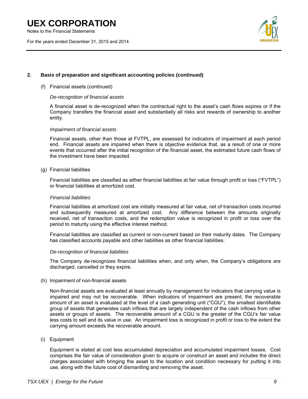Notes to the Financial Statements

For the years ended December 31, 2015 and 2014



### **2. Basis of preparation and significant accounting policies (continued)**

### (f) Financial assets (continued)

### *De-recognition of financial assets*

A financial asset is de-recognized when the contractual right to the asset's cash flows expires or if the Company transfers the financial asset and substantially all risks and rewards of ownership to another entity.

### *Impairment of financial assets*

Financial assets, other than those at FVTPL, are assessed for indicators of impairment at each period end. Financial assets are impaired when there is objective evidence that, as a result of one or more events that occurred after the initial recognition of the financial asset, the estimated future cash flows of the investment have been impacted.

### (g) Financial liabilities

Financial liabilities are classified as either financial liabilities at fair value through profit or loss ("FVTPL") or financial liabilities at amortized cost.

### *Financial liabilities*

Financial liabilities at amortized cost are initially measured at fair value, net of transaction costs incurred and subsequently measured at amortized cost. Any difference between the amounts originally received, net of transaction costs, and the redemption value is recognized in profit or loss over the period to maturity using the effective interest method.

Financial liabilities are classified as current or non-current based on their maturity dates. The Company has classified accounts payable and other liabilities as other financial liabilities.

#### *De-recognition of financial liabilities*

The Company de-recognizes financial liabilities when, and only when, the Company's obligations are discharged, cancelled or they expire.

#### (h) Impairment of non-financial assets

Non-financial assets are evaluated at least annually by management for indicators that carrying value is impaired and may not be recoverable. When indicators of impairment are present, the recoverable amount of an asset is evaluated at the level of a cash generating unit ("CGU"), the smallest identifiable group of assets that generates cash inflows that are largely independent of the cash inflows from other assets or groups of assets. The recoverable amount of a CGU is the greater of the CGU's fair value less costs to sell and its value in use. An impairment loss is recognized in profit or loss to the extent the carrying amount exceeds the recoverable amount.

### (i) Equipment

Equipment is stated at cost less accumulated depreciation and accumulated impairment losses. Cost comprises the fair value of consideration given to acquire or construct an asset and includes the direct charges associated with bringing the asset to the location and condition necessary for putting it into use, along with the future cost of dismantling and removing the asset.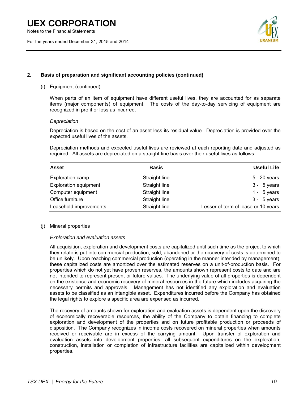Notes to the Financial Statements

For the years ended December 31, 2015 and 2014



### **2. Basis of preparation and significant accounting policies (continued)**

### (i) Equipment (continued)

When parts of an item of equipment have different useful lives, they are accounted for as separate items (major components) of equipment. The costs of the day-to-day servicing of equipment are recognized in profit or loss as incurred.

### *Depreciation*

Depreciation is based on the cost of an asset less its residual value. Depreciation is provided over the expected useful lives of the assets.

Depreciation methods and expected useful lives are reviewed at each reporting date and adjusted as required. All assets are depreciated on a straight-line basis over their useful lives as follows:

| <b>Asset</b>                 | <b>Basis</b>  | <b>Useful Life</b>                  |
|------------------------------|---------------|-------------------------------------|
| Exploration camp             | Straight line | $5 - 20$ years                      |
| <b>Exploration equipment</b> | Straight line | $3 - 5$ years                       |
| Computer equipment           | Straight line | 1 - $5$ years                       |
| Office furniture             | Straight line | $3 - 5$ years                       |
| Leasehold improvements       | Straight line | Lesser of term of lease or 10 years |

### (j) Mineral properties

### *Exploration and evaluation assets*

All acquisition, exploration and development costs are capitalized until such time as the project to which they relate is put into commercial production, sold, abandoned or the recovery of costs is determined to be unlikely. Upon reaching commercial production (operating in the manner intended by management), these capitalized costs are amortized over the estimated reserves on a unit-of-production basis. For properties which do not yet have proven reserves, the amounts shown represent costs to date and are not intended to represent present or future values. The underlying value of all properties is dependent on the existence and economic recovery of mineral resources in the future which includes acquiring the necessary permits and approvals. Management has not identified any exploration and evaluation assets to be classified as an intangible asset. Expenditures incurred before the Company has obtained the legal rights to explore a specific area are expensed as incurred.

The recovery of amounts shown for exploration and evaluation assets is dependent upon the discovery of economically recoverable resources, the ability of the Company to obtain financing to complete exploration and development of the properties and on future profitable production or proceeds of disposition. The Company recognizes in income costs recovered on mineral properties when amounts received or receivable are in excess of the carrying amount. Upon transfer of exploration and evaluation assets into development properties, all subsequent expenditures on the exploration, construction, installation or completion of infrastructure facilities are capitalized within development properties.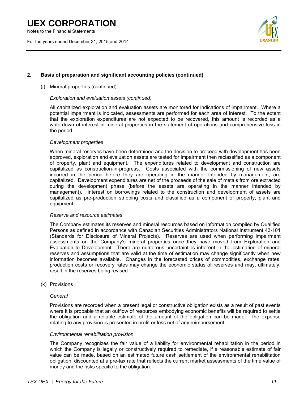Notes to the Financial Statements

For the years ended December 31, 2015 and 2014



### **2. Basis of preparation and significant accounting policies (continued)**

### (j) Mineral properties (continued)

### *Exploration and evaluation assets (continued)*

All capitalized exploration and evaluation assets are monitored for indications of impairment. Where a potential impairment is indicated, assessments are performed for each area of interest. To the extent that the exploration expenditures are not expected to be recovered, this amount is recorded as a write-down of interest in mineral properties in the statement of operations and comprehensive loss in the period.

### *Development properties*

When mineral reserves have been determined and the decision to proceed with development has been approved, exploration and evaluation assets are tested for impairment then reclassified as a component of property, plant and equipment. The expenditures related to development and construction are capitalized as construction-in-progress. Costs associated with the commissioning of new assets incurred in the period before they are operating in the manner intended by management, are capitalized. Development expenditures are net of the proceeds of the sale of metals from ore extracted during the development phase (before the assets are operating in the manner intended by management). Interest on borrowings related to the construction and development of assets are capitalized as pre-production stripping costs and classified as a component of property, plant and equipment.

#### *Reserve and resource estimates*

The Company estimates its reserves and mineral resources based on information compiled by Qualified Persons as defined in accordance with Canadian Securities Administrators National Instrument 43-101 (Standards for Disclosure of Mineral Projects). Reserves are used when performing impairment assessments on the Company's mineral properties once they have moved from Exploration and Evaluation to Development. There are numerous uncertainties inherent in the estimation of mineral reserves and assumptions that are valid at the time of estimation may change significantly when new information becomes available. Changes in the forecasted prices of commodities, exchange rates, production costs or recovery rates may change the economic status of reserves and may, ultimately, result in the reserves being revised.

(k) Provisions

### *General*

Provisions are recorded when a present legal or constructive obligation exists as a result of past events where it is probable that an outflow of resources embodying economic benefits will be required to settle the obligation and a reliable estimate of the amount of the obligation can be made. The expense relating to any provision is presented in profit or loss net of any reimbursement.

### *Environmental rehabilitation provision*

The Company recognizes the fair value of a liability for environmental rehabilitation in the period in which the Company is legally or constructively required to remediate, if a reasonable estimate of fair value can be made, based on an estimated future cash settlement of the environmental rehabilitation obligation, discounted at a pre-tax rate that reflects the current market assessments of the time value of money and the risks specific to the obligation.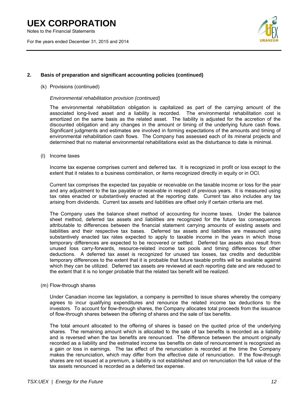Notes to the Financial Statements

For the years ended December 31, 2015 and 2014



### **2. Basis of preparation and significant accounting policies (continued)**

#### (k) Provisions (continued)

### *Environmental rehabilitation provision (continued)*

The environmental rehabilitation obligation is capitalized as part of the carrying amount of the associated long-lived asset and a liability is recorded. The environmental rehabilitation cost is amortized on the same basis as the related asset. The liability is adjusted for the accretion of the discounted obligation and any changes in the amount or timing of the underlying future cash flows. Significant judgments and estimates are involved in forming expectations of the amounts and timing of environmental rehabilitation cash flows. The Company has assessed each of its mineral projects and determined that no material environmental rehabilitations exist as the disturbance to date is minimal.

(l) Income taxes

Income tax expense comprises current and deferred tax. It is recognized in profit or loss except to the extent that it relates to a business combination, or items recognized directly in equity or in OCI.

Current tax comprises the expected tax payable or receivable on the taxable income or loss for the year and any adjustment to the tax payable or receivable in respect of previous years. It is measured using tax rates enacted or substantively enacted at the reporting date. Current tax also includes any tax arising from dividends. Current tax assets and liabilities are offset only if certain criteria are met.

The Company uses the balance sheet method of accounting for income taxes. Under the balance sheet method, deferred tax assets and liabilities are recognized for the future tax consequences attributable to differences between the financial statement carrying amounts of existing assets and liabilities and their respective tax bases. Deferred tax assets and liabilities are measured using substantively enacted tax rates expected to apply to taxable income in the years in which those temporary differences are expected to be recovered or settled. Deferred tax assets also result from unused loss carry-forwards, resource-related income tax pools and timing differences for other deductions. A deferred tax asset is recognized for unused tax losses, tax credits and deductible temporary differences to the extent that it is probable that future taxable profits will be available against which they can be utilized. Deferred tax assets are reviewed at each reporting date and are reduced to the extent that it is no longer probable that the related tax benefit will be realized.

(m) Flow-through shares

Under Canadian income tax legislation, a company is permitted to issue shares whereby the company agrees to incur qualifying expenditures and renounce the related income tax deductions to the investors. To account for flow-through shares, the Company allocates total proceeds from the issuance of flow-through shares between the offering of shares and the sale of tax benefits.

The total amount allocated to the offering of shares is based on the quoted price of the underlying shares. The remaining amount which is allocated to the sale of tax benefits is recorded as a liability and is reversed when the tax benefits are renounced. The difference between the amount originally recorded as a liability and the estimated income tax benefits on date of renouncement is recognized as a gain or loss in earnings. The tax effect of the renunciation is recorded at the time the Company makes the renunciation, which may differ from the effective date of renunciation. If the flow-through shares are not issued at a premium, a liability is not established and on renunciation the full value of the tax assets renounced is recorded as a deferred tax expense.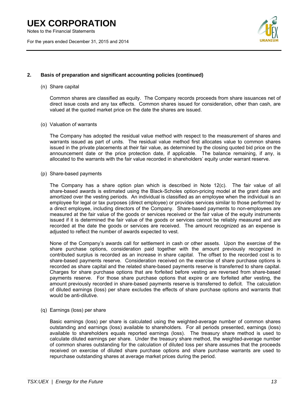Notes to the Financial Statements

For the years ended December 31, 2015 and 2014



### **2. Basis of preparation and significant accounting policies (continued)**

### (n) Share capital

Common shares are classified as equity. The Company records proceeds from share issuances net of direct issue costs and any tax effects. Common shares issued for consideration, other than cash, are valued at the quoted market price on the date the shares are issued.

### (o) Valuation of warrants

The Company has adopted the residual value method with respect to the measurement of shares and warrants issued as part of units. The residual value method first allocates value to common shares issued in the private placements at their fair value, as determined by the closing quoted bid price on the announcement date or the price protection date, if applicable. The balance remaining, if any, is allocated to the warrants with the fair value recorded in shareholders' equity under warrant reserve.

### (p) Share-based payments

The Company has a share option plan which is described in Note 12(c). The fair value of all share-based awards is estimated using the Black-Scholes option-pricing model at the grant date and amortized over the vesting periods. An individual is classified as an employee when the individual is an employee for legal or tax purposes (direct employee) or provides services similar to those performed by a direct employee, including directors of the Company. Share-based payments to non-employees are measured at the fair value of the goods or services received or the fair value of the equity instruments issued if it is determined the fair value of the goods or services cannot be reliably measured and are recorded at the date the goods or services are received. The amount recognized as an expense is adjusted to reflect the number of awards expected to vest.

None of the Company's awards call for settlement in cash or other assets. Upon the exercise of the share purchase options, consideration paid together with the amount previously recognized in contributed surplus is recorded as an increase in share capital. The offset to the recorded cost is to share-based payments reserve. Consideration received on the exercise of share purchase options is recorded as share capital and the related share-based payments reserve is transferred to share capital. Charges for share purchase options that are forfeited before vesting are reversed from share-based payments reserve. For those share purchase options that expire or are forfeited after vesting, the amount previously recorded in share-based payments reserve is transferred to deficit. The calculation of diluted earnings (loss) per share excludes the effects of share purchase options and warrants that would be anti-dilutive.

(q) Earnings (loss) per share

Basic earnings (loss) per share is calculated using the weighted-average number of common shares outstanding and earnings (loss) available to shareholders. For all periods presented, earnings (loss) available to shareholders equals reported earnings (loss). The treasury share method is used to calculate diluted earnings per share. Under the treasury share method, the weighted-average number of common shares outstanding for the calculation of diluted loss per share assumes that the proceeds received on exercise of diluted share purchase options and share purchase warrants are used to repurchase outstanding shares at average market prices during the period.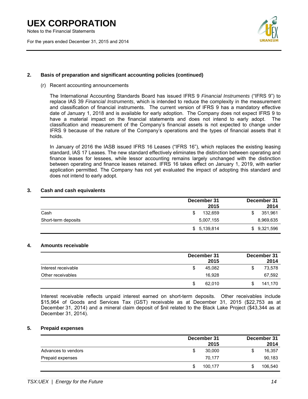Notes to the Financial Statements

For the years ended December 31, 2015 and 2014



### **2. Basis of preparation and significant accounting policies (continued)**

(r) Recent accounting announcements

The International Accounting Standards Board has issued IFRS 9 *Financial Instruments* ("IFRS 9") to replace IAS 39 *Financial Instruments*, which is intended to reduce the complexity in the measurement and classification of financial instruments. The current version of IFRS 9 has a mandatory effective date of January 1, 2018 and is available for early adoption. The Company does not expect IFRS 9 to have a material impact on the financial statements and does not intend to early adopt. The classification and measurement of the Company's financial assets is not expected to change under IFRS 9 because of the nature of the Company's operations and the types of financial assets that it holds.

In January of 2016 the IASB issued IFRS 16 Leases ("IFRS 16"), which replaces the existing leasing standard, IAS 17 Leases. The new standard effectively eliminates the distinction between operating and finance leases for lessees, while lessor accounting remains largely unchanged with the distinction between operating and finance leases retained. IFRS 16 takes effect on January 1, 2019, with earlier application permitted. The Company has not yet evaluated the impact of adopting this standard and does not intend to early adopt.

### **3. Cash and cash equivalents**

|                     | December 31<br>2015 | December 31<br>2014 |
|---------------------|---------------------|---------------------|
| Cash                | 132.659             | 351,961             |
| Short-term deposits | 5,007,155           | 8,969,635           |
|                     | \$5,139,814         | \$ 9,321,596        |

### **4. Amounts receivable**

|                     | December 31 | 2015   | December 31<br>2014 |
|---------------------|-------------|--------|---------------------|
| Interest receivable | S           | 45.082 | \$<br>73,578        |
| Other receivables   |             | 16,928 | 67,592              |
|                     | S           | 62.010 | 141.170             |

Interest receivable reflects unpaid interest earned on short-term deposits. Other receivables include \$15,964 of Goods and Services Tax (GST) receivable as at December 31, 2015 (\$22,753 as at December 31, 2014) and a mineral claim deposit of \$nil related to the Black Lake Project (\$43,344 as at December 31, 2014).

### **5. Prepaid expenses**

|                     | December 31  | December 31  |
|---------------------|--------------|--------------|
|                     | 2015         | 2014         |
| Advances to vendors | 30,000<br>\$ | 16,357<br>\$ |
| Prepaid expenses    | 70.177       | 90,183       |
|                     | 100.177      | 106,540      |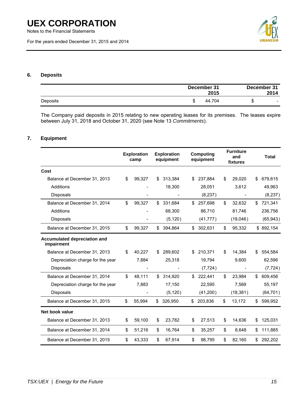For the years ended December 31, 2015 and 2014



### **6. Deposits**

|          | December 31<br>2015 | December 31 | 2014                     |
|----------|---------------------|-------------|--------------------------|
| Deposits | 44.704              | ъ           | $\overline{\phantom{a}}$ |

The Company paid deposits in 2015 relating to new operating leases for its premises. The leases expire between July 31, 2018 and October 31, 2020 (see Note 13 *Commitments*).

### **7. Equipment**

|                                            | <b>Exploration</b><br>camp | <b>Exploration</b><br>equipment |     | <b>Computing</b><br>equipment | <b>Furniture</b><br>and<br>fixtures |     | <b>Total</b> |
|--------------------------------------------|----------------------------|---------------------------------|-----|-------------------------------|-------------------------------------|-----|--------------|
| Cost                                       |                            |                                 |     |                               |                                     |     |              |
| Balance at December 31, 2013               | \$<br>99,327               | \$<br>313,384                   | \$  | 237,884                       | \$<br>29.020                        | \$  | 679,615      |
| Additions                                  |                            | 18,300                          |     | 28,051                        | 3,612                               |     | 49,963       |
| <b>Disposals</b>                           |                            |                                 |     | (8,237)                       |                                     |     | (8, 237)     |
| Balance at December 31, 2014               | \$<br>99,327               | \$<br>331,684                   | \$  | 257,698                       | \$<br>32,632                        | \$  | 721,341      |
| Additions                                  |                            | 68,300                          |     | 86,710                        | 81,746                              |     | 236,756      |
| <b>Disposals</b>                           |                            | (5, 120)                        |     | (41, 777)                     | (19,046)                            |     | (65, 943)    |
| Balance at December 31, 2015               | \$<br>99,327               | \$<br>394,864                   | \$  | 302,631                       | \$<br>95,332                        |     | \$892,154    |
| Accumulated depreciation and<br>impairment |                            |                                 |     |                               |                                     |     |              |
| Balance at December 31, 2013               | \$<br>40.227               | \$<br>289,602                   | \$  | 210,371                       | \$<br>14.384                        | S   | 554,584      |
| Depreciation charge for the year           | 7,884                      | 25,318                          |     | 19,794                        | 9,600                               |     | 62,596       |
| <b>Disposals</b>                           |                            |                                 |     | (7, 724)                      |                                     |     | (7, 724)     |
| Balance at December 31, 2014               | \$<br>48,111               | \$314,920                       | \$. | 222,441                       | \$<br>23.984                        | \$. | 609,456      |
| Depreciation charge for the year           | 7,883                      | 17,150                          |     | 22,595                        | 7,569                               |     | 55,197       |
| Disposals                                  |                            | (5, 120)                        |     | (41,200)                      | (18, 381)                           |     | (64, 701)    |
| Balance at December 31, 2015               | \$<br>55,994               | \$<br>326,950                   | \$. | 203,836                       | \$<br>13,172                        | \$. | 599,952      |
| Net book value                             |                            |                                 |     |                               |                                     |     |              |
| Balance at December 31, 2013               | \$<br>59,100               | \$<br>23,782                    | \$  | 27,513                        | \$<br>14,636                        | S   | 125,031      |
| Balance at December 31, 2014               | \$<br>51,216               | \$<br>16,764                    | \$  | 35,257                        | \$<br>8,648                         | S   | 111,885      |
| Balance at December 31, 2015               | \$<br>43,333               | \$<br>67,914                    | \$  | 98,795                        | \$<br>82,160                        | \$  | 292,202      |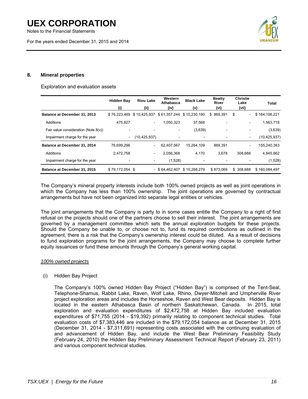Notes to the Financial Statements

For the years ended December 31, 2015 and 2014



### **8. Mineral properties**

#### Exploration and evaluation assets

|                                         | <b>Hidden Bay</b><br>(i) | <b>Riou Lake</b><br>(ii) | Western<br>Athabasca<br>(iv) | <b>Black Lake</b><br>(v) | <b>Beatty</b><br>River<br>(vi) | <b>Christie</b><br>Lake<br>(vii) | Total          |
|-----------------------------------------|--------------------------|--------------------------|------------------------------|--------------------------|--------------------------------|----------------------------------|----------------|
| Balance at December 31, 2013            | \$76.223.469             | \$10,425,937             | \$61,357,244 \$15,230,180    |                          | \$869.391                      | \$<br>٠                          | \$164,106,221  |
| Additions                               | 475.827                  | $\blacksquare$           | 1,050,323                    | 37,568                   |                                | ۰                                | 1,563,718      |
| Fair value consideration (Note $8(v)$ ) |                          |                          | $\overline{\phantom{a}}$     | (3,639)                  | -                              | ۰                                | (3,639)        |
| Impairment charge for the year          | $\overline{\phantom{a}}$ | (10, 425, 937)           |                              | ۰                        |                                | ۰                                | (10, 425, 937) |
| Balance at December 31, 2014            | 76,699,296               | $\overline{\phantom{a}}$ | 62,407,567                   | 15.264.109               | 869.391                        | ۰                                | 155,240,363    |
| Additions                               | 2.472.758                | $\blacksquare$           | 2,056,368                    | 4,170                    | 3.678                          | 308.688                          | 4,845,662      |
| Impairment charge for the year          |                          | $\overline{\phantom{a}}$ | (1,528)                      |                          |                                |                                  | (1,528)        |
| Balance at December 31, 2015            | \$79,172,054 \$          |                          | $-$ \$64,462,407             | \$15,268,279             | \$873.069                      | \$ 308,688                       | \$160,084,497  |

The Company's mineral property interests include both 100% owned projects as well as joint operations in which the Company has less than 100% ownership. The joint operations are governed by contractual arrangements but have not been organized into separate legal entities or vehicles.

The joint arrangements that the Company is party to in some cases entitle the Company to a right of first refusal on the projects should one of the partners choose to sell their interest. The joint arrangements are governed by a management committee which sets the annual exploration budgets for these projects. Should the Company be unable to, or choose not to, fund its required contributions as outlined in the agreement, there is a risk that the Company's ownership interest could be diluted. As a result of decisions to fund exploration programs for the joint arrangements, the Company may choose to complete further equity issuances or fund these amounts through the Company's general working capital.

### *100% owned projects*

(i) Hidden Bay Project

The Company's 100% owned Hidden Bay Project ("Hidden Bay") is comprised of the Tent-Seal, Telephone-Shamus, Rabbit Lake, Raven, Wolf Lake, Rhino, Dwyer-Mitchell and Umpherville River project exploration areas and includes the Horseshoe, Raven and West Bear deposits. Hidden Bay is located in the eastern Athabasca Basin of northern Saskatchewan, Canada. In 2015, total exploration and evaluation expenditures of \$2,472,758 at Hidden Bay included evaluation expenditures of \$71,755 (2014 - \$19,392) primarily relating to component technical studies. Total evaluation costs of \$7,383,446 are included in the \$79,172,054 balance as at December 31, 2015 (December 31, 2014 - \$7,311,691) representing costs associated with the continuing evaluation of and advancement of Hidden Bay, and include the West Bear Preliminary Feasibility Study (February 24, 2010) the Hidden Bay Preliminary Assessment Technical Report (February 23, 2011) and various component technical studies.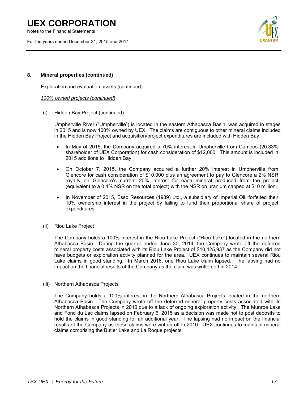Notes to the Financial Statements

For the years ended December 31, 2015 and 2014



### **8. Mineral properties (continued)**

Exploration and evaluation assets (continued)

### *100% owned projects (continued)*

(i) Hidden Bay Project (continued)

Umpherville River ("Umpherville") is located in the eastern Athabasca Basin, was acquired in stages in 2015 and is now 100% owned by UEX. The claims are contiguous to other mineral claims included in the Hidden Bay Project and acquisition/project expenditures are included with Hidden Bay.

- In May of 2015, the Company acquired a 70% interest in Umpherville from Cameco (20.33% shareholder of UEX Corporation) for cash consideration of \$12,000. This amount is included in 2015 additions to Hidden Bay.
- On October 7, 2015, the Company acquired a further 20% interest in Umpherville from Glencore for cash consideration of \$10,000 plus an agreement to pay to Glencore a 2% NSR royalty on Glencore's current 20% interest for each mineral produced from the project (equivalent to a 0.4% NSR on the total project) with the NSR on uranium capped at \$10 million.
- In November of 2015, Esso Resources (1989) Ltd., a subsidiary of Imperial Oil, forfeited their 10% ownership interest in the project by failing to fund their proportional share of project expenditures.
- (ii) Riou Lake Project

The Company holds a 100% interest in the Riou Lake Project ("Riou Lake") located in the northern Athabasca Basin. During the quarter ended June 30, 2014, the Company wrote off the deferred mineral property costs associated with its Riou Lake Project of \$10,425,937 as the Company did not have budgets or exploration activity planned for the area. UEX continues to maintain several Riou Lake claims in good standing. In March 2016, one Riou Lake claim lapsed. The lapsing had no impact on the financial results of the Company as the claim was written off in 2014.

(iii) Northern Athabasca Projects

The Company holds a 100% interest in the Northern Athabasca Projects located in the northern Athabasca Basin. The Company wrote off the deferred mineral property costs associated with its Northern Athabasca Projects in 2010 due to a lack of ongoing exploration activity. The Munroe Lake and Fond du Lac claims lapsed on February 6, 2015 as a decision was made not to post deposits to hold the claims in good standing for an additional year. The lapsing had no impact on the financial results of the Company as these claims were written off in 2010. UEX continues to maintain mineral claims comprising the Butler Lake and La Roque projects.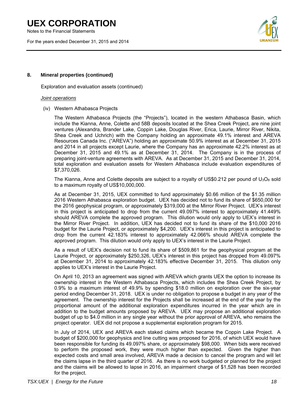Notes to the Financial Statements

For the years ended December 31, 2015 and 2014



### **8. Mineral properties (continued)**

Exploration and evaluation assets (continued)

### *Joint operations*

(iv) Western Athabasca Projects

The Western Athabasca Projects (the "Projects"), located in the western Athabasca Basin, which include the Kianna, Anne, Colette and 58B deposits located at the Shea Creek Project, are nine joint ventures (Alexandra, Brander Lake, Coppin Lake, Douglas River, Erica, Laurie, Mirror River, Nikita, Shea Creek and Uchrich) with the Company holding an approximate 49.1% interest and AREVA Resources Canada Inc. ("AREVA") holding an approximate 50.9% interest as at December 31, 2015 and 2014 in all projects except Laurie, where the Company has an approximate 42.2% interest as at December 31, 2015 and 49.1% as at December 31, 2014. The Company is in the process of preparing joint-venture agreements with AREVA. As at December 31, 2015 and December 31, 2014, total exploration and evaluation assets for Western Athabasca include evaluation expenditures of \$7,370,026.

The Kianna, Anne and Colette deposits are subject to a royalty of US\$0.212 per pound of  $U_3O_8$  sold to a maximum royalty of US\$10,000,000.

As at December 31, 2015, UEX committed to fund approximately \$0.66 million of the \$1.35 million 2016 Western Athabasca exploration budget. UEX has decided not to fund its share of \$650,000 for the 2016 geophysical program, or approximately \$319,000 at the Mirror River Project. UEX's interest in this project is anticipated to drop from the current 49.097% interest to approximately 41.449% should AREVA complete the approved program. This dilution would only apply to UEX's interest in the Mirror River Project. In addition, UEX has decided not to fund its share of the \$10,000 2016 budget for the Laurie Project, or approximately \$4,200. UEX's interest in this project is anticipated to drop from the current 42.183% interest to approximately 42.066% should AREVA complete the approved program. This dilution would only apply to UEX's interest in the Laurie Project.

As a result of UEX's decision not to fund its share of \$509,861 for the geophysical program at the Laurie Project, or approximately \$250,326, UEX's interest in this project has dropped from 49.097% at December 31, 2014 to approximately 42.183% effective December 31, 2015. This dilution only applies to UEX's interest in the Laurie Project.

On April 10, 2013 an agreement was signed with AREVA which grants UEX the option to increase its ownership interest in the Western Athabasca Projects, which includes the Shea Creek Project, by 0.9% to a maximum interest of 49.9% by spending \$18.0 million on exploration over the six-year period ending December 31, 2018. UEX is under no obligation to propose a budget in any year of the agreement. The ownership interest for the Projects shall be increased at the end of the year by the proportional amount of the additional exploration expenditures incurred in the year which are in addition to the budget amounts proposed by AREVA. UEX may propose an additional exploration budget of up to \$4.0 million in any single year without the prior approval of AREVA, who remains the project operator. UEX did not propose a supplemental exploration program for 2015.

In July of 2014, UEX and AREVA each staked claims which became the Coppin Lake Project. A budget of \$200,000 for geophysics and line cutting was proposed for 2016, of which UEX would have been responsible for funding its 49.097% share, or approximately \$98,000. When bids were received to perform the proposed work, they were much higher than expected. Given the higher than expected costs and small area involved, AREVA made a decision to cancel the program and will let the claims lapse in the third quarter of 2016. As there is no work budgeted or planned for the project and the claims will be allowed to lapse in 2016, an impairment charge of \$1,528 has been recorded for the project.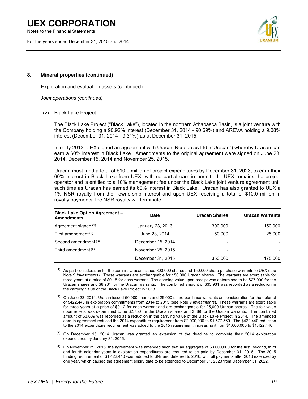Notes to the Financial Statements

For the years ended December 31, 2015 and 2014



### **8. Mineral properties (continued)**

Exploration and evaluation assets (continued)

### *Joint operations (continued)*

(v) Black Lake Project

The Black Lake Project ("Black Lake"), located in the northern Athabasca Basin, is a joint venture with the Company holding a 90.92% interest (December 31, 2014 - 90.69%) and AREVA holding a 9.08% interest (December 31, 2014 - 9.31%) as at December 31, 2015.

In early 2013, UEX signed an agreement with Uracan Resources Ltd. ("Uracan") whereby Uracan can earn a 60% interest in Black Lake. Amendments to the original agreement were signed on June 23, 2014, December 15, 2014 and November 25, 2015.

Uracan must fund a total of \$10.0 million of project expenditures by December 31, 2023, to earn their 60% interest in Black Lake from UEX, with no partial earn-in permitted. UEX remains the project operator and is entitled to a 10% management fee under the Black Lake joint venture agreement until such time as Uracan has earned its 60% interest in Black Lake. Uracan has also granted to UEX a 1% NSR royalty from their ownership interest and upon UEX receiving a total of \$10.0 million in royalty payments, the NSR royalty will terminate.

| <b>Black Lake Option Agreement -</b><br><b>Amendments</b> | Date              | Uracan Shares            | <b>Uracan Warrants</b>   |
|-----------------------------------------------------------|-------------------|--------------------------|--------------------------|
| Agreement signed (1)                                      | January 23, 2013  |                          | 150,000                  |
| First amendment $(2)$                                     | June 23, 2014     | 50.000                   | 25,000                   |
| Second amendment <sup>(3)</sup>                           | December 15, 2014 |                          |                          |
| Third amendment <sup>(4)</sup>                            | November 25, 2015 | $\overline{\phantom{a}}$ | $\overline{\phantom{a}}$ |
|                                                           | December 31, 2015 | 350,000                  | 175,000                  |

 $(1)$  As part consideration for the earn-in, Uracan issued 300,000 shares and 150,000 share purchase warrants to UEX (see Note 9 *Investments*). These warrants are exchangeable for 150,000 Uracan shares. The warrants are exercisable for three years at a price of \$0.15 for each warrant. The opening value upon receipt was determined to be \$27,000 for the Uracan shares and \$8,931 for the Uracan warrants. The combined amount of \$35,931 was recorded as a reduction in the carrying value of the Black Lake Project in 2013.

- $(2)$  On June 23, 2014, Uracan issued 50,000 shares and 25,000 share purchase warrants as consideration for the deferral of \$422,440 in exploration commitments from 2014 to 2015 (see Note 9 *Investments*). These warrants are exercisable for three years at a price of \$0.12 for each warrant and are exchangeable for 25,000 Uracan shares. The fair value upon receipt was determined to be \$2,750 for the Uracan shares and \$889 for the Uracan warrants. The combined amount of \$3,639 was recorded as a reduction in the carrying value of the Black Lake Project in 2014. The amended earn-in agreement reduced the 2014 expenditure requirement from \$2,000,000 to \$1,577,560. The \$422,440 reduction to the 2014 expenditure requirement was added to the 2015 requirement, increasing it from \$1,000,000 to \$1,422,440.
- $(3)$  On December 15, 2014 Uracan was granted an extension of the deadline to complete their 2014 exploration expenditures by January 31, 2015.
- (4) On November 25, 2015, the agreement was amended such that an aggregate of \$3,000,000 for the first, second, third and fourth calendar years in exploration expenditures are required to be paid by December 31, 2016. The 2015 funding requirement of \$1,422,440 was reduced to \$Nil and deferred to 2016, with all payments after 2016 extended by one year, which caused the agreement expiry date to be extended to December 31, 2023 from December 31, 2022.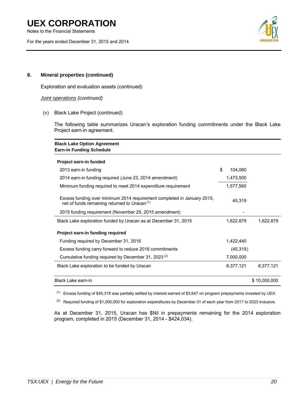Notes to the Financial Statements

For the years ended December 31, 2015 and 2014



### **8. Mineral properties (continued)**

Exploration and evaluation assets (continued)

*Joint operations (continued)* 

(v) Black Lake Project (continued)

The following table summarizes Uracan's exploration funding commitments under the Black Lake Project earn-in agreement.

| <b>Black Lake Option Agreement</b><br><b>Earn-in Funding Schedule</b>                                                               |               |              |
|-------------------------------------------------------------------------------------------------------------------------------------|---------------|--------------|
| Project earn-in funded                                                                                                              |               |              |
| 2013 earn-in funding                                                                                                                | \$<br>104,060 |              |
| 2014 earn-in funding required (June 23, 2014 amendment)                                                                             | 1,473,500     |              |
| Minimum funding required to meet 2014 expenditure requirement                                                                       | 1,577,560     |              |
| Excess funding over minimum 2014 requirement completed in January 2015,<br>net of funds remaining returned to Uracan <sup>(1)</sup> | 45,319        |              |
| 2015 funding requirement (November 25, 2015 amendment)                                                                              |               |              |
| Black Lake exploration funded by Uracan as at December 31, 2015                                                                     | 1,622,879     | 1,622,879    |
| Project earn-in funding required                                                                                                    |               |              |
| Funding required by December 31, 2016                                                                                               | 1,422,440     |              |
| Excess funding carry forward to reduce 2016 commitments                                                                             | (45, 319)     |              |
| Cumulative funding required by December 31, 2023 <sup>(2)</sup>                                                                     | 7,000,000     |              |
| Black Lake exploration to be funded by Uracan                                                                                       | 8,377,121     | 8,377,121    |
| Black Lake earn-in                                                                                                                  |               | \$10,000,000 |

 $(1)$  Excess funding of \$45,319 was partially settled by interest earned of \$3,647 on program prepayments invested by UEX.

 $(2)$  Required funding of \$1,000,000 for exploration expenditures by December 31 of each year from 2017 to 2023 inclusive.

As at December 31, 2015, Uracan has \$Nil in prepayments remaining for the 2014 exploration program, completed in 2015 (December 31, 2014 - \$424,034).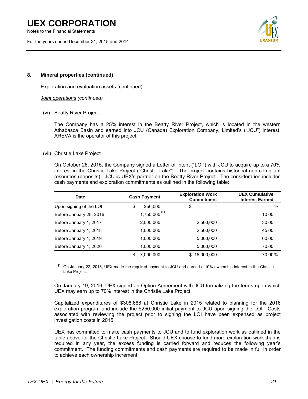Notes to the Financial Statements

For the years ended December 31, 2015 and 2014



### **8. Mineral properties (continued)**

Exploration and evaluation assets (continued)

*Joint operations (continued)* 

(vi) Beatty River Project

The Company has a 25% interest in the Beatty River Project, which is located in the western Athabasca Basin and earned into JCU (Canada) Exploration Company, Limited's ("JCU") interest. AREVA is the operator of this project.

### (vii) Christie Lake Project

On October 26, 2015, the Company signed a Letter of Intent ("LOI") with JCU to acquire up to a 70% interest in the Christie Lake Project ("Christie Lake"). The project contains historical non-compliant resources (deposits). JCU is UEX's partner on the Beatty River Project. The consideration includes cash payments and exploration commitments as outlined in the following table:

| Date                    | <b>Cash Payment</b> |                   |                          |                | <b>Exploration Work</b><br><b>Commitment</b> | <b>UEX Cumulative</b><br><b>Interest Earned</b> |
|-------------------------|---------------------|-------------------|--------------------------|----------------|----------------------------------------------|-------------------------------------------------|
| Upon signing of the LOI | \$                  | 250,000           | \$<br>-                  | $\%$<br>$\sim$ |                                              |                                                 |
| Before January 28, 2016 |                     | $1,750,000^{(1)}$ | $\overline{\phantom{a}}$ | 10.00          |                                              |                                                 |
| Before January 1, 2017  |                     | 2,000,000         | 2,500,000                | 30.00          |                                              |                                                 |
| Before January 1, 2018  |                     | 1,000,000         | 2,500,000                | 45.00          |                                              |                                                 |
| Before January 1, 2019  |                     | 1,000,000         | 5,000,000                | 60.00          |                                              |                                                 |
| Before January 1, 2020  |                     | 1,000,000         | 5,000,000                | 70.00          |                                              |                                                 |
|                         | \$                  | 7,000,000         | 15,000,000<br>SS.        | 70.00%         |                                              |                                                 |

(1) On January 22, 2016, UEX made the required payment to JCU and earned a 10% ownership interest in the Christie Lake Project.

On January 19, 2016, UEX signed an Option Agreement with JCU formalizing the terms upon which UEX may earn up to 70% interest in the Christie Lake Project.

Capitalized expenditures of \$308,688 at Christie Lake in 2015 related to planning for the 2016 exploration program and include the \$250,000 initial payment to JCU upon signing the LOI. Costs associated with reviewing the project prior to signing the LOI have been expensed as project investigation costs in 2015.

UEX has committed to make cash payments to JCU and to fund exploration work as outlined in the table above for the Christie Lake Project. Should UEX choose to fund more exploration work than is required in any year, the excess funding is carried forward and reduces the following year's commitment. The funding commitments and cash payments are required to be made in full in order to achieve each ownership increment.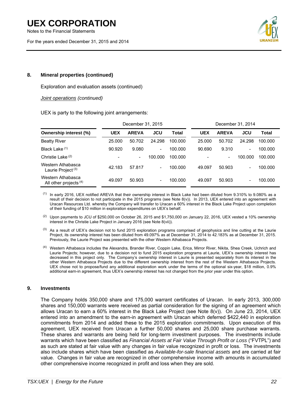Notes to the Financial Statements

For the years ended December 31, 2015 and 2014



### **8. Mineral properties (continued)**

Exploration and evaluation assets (continued)

*Joint operations (continued)* 

UEX is party to the following joint arrangements:

|                                                    | December 31, 2015 |                          |                          |         |            | December 31, 2014 |                          |         |
|----------------------------------------------------|-------------------|--------------------------|--------------------------|---------|------------|-------------------|--------------------------|---------|
| <b>Ownership interest (%)</b>                      | <b>UEX</b>        | <b>AREVA</b>             | JCU                      | Total   | <b>UEX</b> | <b>AREVA</b>      | JCU                      | Total   |
| <b>Beatty River</b>                                | 25.000            | 50.702                   | 24.298                   | 100.000 | 25,000     | 50.702            | 24.298                   | 100.000 |
| Black Lake (1)                                     | 90.920            | 9.080                    | $\overline{\phantom{a}}$ | 100.000 | 90.690     | 9.310             | ۰                        | 100.000 |
| Christie Lake <sup>(2)</sup>                       | -                 | $\overline{\phantom{a}}$ | 100.000                  | 100.000 | ٠          | Ξ.                | 100.000                  | 100.000 |
| Western Athabasca<br>Laurie Project <sup>(3)</sup> | 42.183            | 57.817                   | $\overline{\phantom{a}}$ | 100.000 | 49.097     | 50.903            | $\overline{\phantom{a}}$ | 100.000 |
| Western Athabasca<br>All other projects $(4)$      | 49.097            | 50.903                   | $\overline{\phantom{a}}$ | 100.000 | 49.097     | 50.903            | $\overline{\phantom{a}}$ | 100.000 |

 $<sup>(1)</sup>$  In early 2016, UEX notified AREVA that their ownership interest in Black Lake had been diluted from 9.310% to 9.080% as a</sup> result of their decision to not participate in the 2015 programs (see Note 8(v)). In 2013, UEX entered into an agreement with Uracan Resources Ltd. whereby the Company will transfer to Uracan a 60% interest in the Black Lake Project upon completion of their funding of \$10 million in exploration expenditures on UEX's behalf.

 $(2)$  Upon payments to JCU of \$250,000 on October 26, 2015 and \$1,750,000 on January 22, 2016, UEX vested a 10% ownership interest in the Christie Lake Project in January 2016 (see Note 8(vii)).

- <sup>(3)</sup> As a result of UEX's decision not to fund 2015 exploration programs comprised of geophysics and line cutting at the Laurie Project, its ownership interest has been diluted from 49.097% as at December 31, 2014 to 42.183% as at December 31, 2015. Previously, the Laurie Project was presented with the other Western Athabasca Projects.
- (4) Western Athabasca includes the Alexandra, Brander River, Coppin Lake, Erica, Mirror River, Nikita, Shea Creek, Uchrich and Laurie Projects; however, due to a decision not to fund 2015 exploration programs at Laurie, UEX's ownership interest has decreased in this project only. The Company's ownership interest in Laurie is presented separately from its interest in the other Western Athabasca Projects due to the different ownership interest from the rest of the Western Athabasca Projects. UEX chose not to propose/fund any additional exploration work under the terms of the optional six-year, \$18 million, 0.9% additional earn-in agreement, thus UEX's ownership interest has not changed from the prior year under this option.

### **9. Investments**

The Company holds 350,000 share and 175,000 warrant certificates of Uracan. In early 2013, 300,000 shares and 150,000 warrants were received as partial consideration for the signing of an agreement which allows Uracan to earn a 60% interest in the Black Lake Project (see Note 8(v)). On June 23, 2014, UEX entered into an amendment to the earn-in agreement with Uracan which deferred \$422,440 in exploration commitments from 2014 and added these to the 2015 exploration commitments. Upon execution of this agreement, UEX received from Uracan a further 50,000 shares and 25,000 share purchase warrants. These shares and warrants are being held for long-term investment purposes. The investments include warrants which have been classified as *Financial Assets at Fair Value Through Profit or Loss* ("FVTPL") and as such are stated at fair value with any changes in fair value recognized in profit or loss. The investments also include shares which have been classified as *Available-for-sale financial assets* and are carried at fair value. Changes in fair value are recognized in other comprehensive income with amounts in accumulated other comprehensive income recognized in profit and loss when they are sold.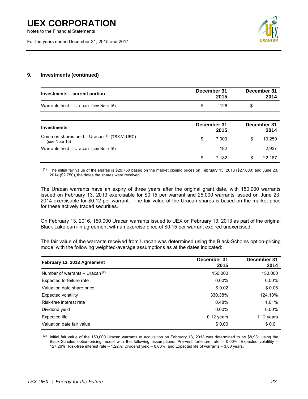Notes to the Financial Statements

For the years ended December 31, 2015 and 2014



\$ 7,182 \$ 22,187

### **9. Investments (continued)**

| Investments – current portion                                   | December 31<br>2015 | December 31<br>2014 |
|-----------------------------------------------------------------|---------------------|---------------------|
| Warrants held - Uracan (see Note 15)                            | 126<br>\$           | \$                  |
| <b>Investments</b>                                              | December 31<br>2015 | December 31<br>2014 |
| Common shares held – Uracan $(1)$ (TSX.V: URC)<br>(see Note 15) | \$<br>7,000         | 19,250<br>S         |
| Warrants held - Uracan (see Note 15)                            | 182                 | 2,937               |

 $(1)$  The initial fair value of the shares is \$29,750 based on the market closing prices on February 13, 2013 (\$27,000) and June 23, 2014 (\$2,750), the dates the shares were received.

The Uracan warrants have an expiry of three years after the original grant date, with 150,000 warrants issued on February 13, 2013 exercisable for \$0.15 per warrant and 25,000 warrants issued on June 23, 2014 exercisable for \$0.12 per warrant. The fair value of the Uracan shares is based on the market price for these actively traded securities.

On February 13, 2016, 150,000 Uracan warrants issued to UEX on February 13, 2013 as part of the original Black Lake earn-in agreement with an exercise price of \$0.15 per warrant expired unexercised.

The fair value of the warrants received from Uracan was determined using the Black-Scholes option-pricing model with the following weighted-average assumptions as at the dates indicated:

| February 13, 2013 Agreement       | December 31<br>2015 | December 31<br>2014 |
|-----------------------------------|---------------------|---------------------|
| Number of warrants – Uracan $(2)$ | 150,000             | 150,000             |
| Expected forfeiture rate          | $0.00\%$            | $0.00\%$            |
| Valuation date share price        | \$0.02              | \$0.06              |
| Expected volatility               | 330.38%             | 124.13%             |
| Risk-free interest rate           | 0.48%               | 1.01%               |
| Dividend yield                    | $0.00\%$            | $0.00\%$            |
| Expected life                     | $0.12$ years        | 1.12 years          |
| Valuation date fair value         | \$0.00              | \$0.01              |

 $(2)$  Initial fair value of the 150,000 Uracan warrants at acquisition on February 13, 2013 was determined to be \$8,931 using the Black-Scholes option-pricing model with the following assumptions: Pre-vest forfeiture rate – 0.00%; Expected volatility – 127.26%; Risk-free interest rate – 1.22%; Dividend yield – 0.00%; and Expected life of warrants – 3.00 years.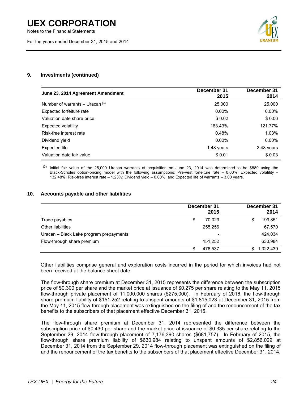Notes to the Financial Statements

For the years ended December 31, 2015 and 2014



### **9. Investments (continued)**

| June 23, 2014 Agreement Amendment | December 31<br>2015 | December 31<br>2014 |
|-----------------------------------|---------------------|---------------------|
| Number of warrants – Uracan $(3)$ | 25,000              | 25,000              |
| Expected forfeiture rate          | $0.00\%$            | $0.00\%$            |
| Valuation date share price        | \$0.02              | \$0.06              |
| Expected volatility               | 163.43%             | 121.77%             |
| Risk-free interest rate           | 0.48%               | 1.03%               |
| Dividend yield                    | $0.00\%$            | $0.00\%$            |
| Expected life                     | 1.48 years          | 2.48 years          |
| Valuation date fair value         | \$0.01              | \$0.03              |

 $(3)$  Initial fair value of the 25,000 Uracan warrants at acquisition on June 23, 2014 was determined to be \$889 using the Black-Scholes option-pricing model with the following assumptions: Pre-vest forfeiture rate – 0.00%; Expected volatility – 132.48%; Risk-free interest rate – 1.23%; Dividend yield – 0.00%; and Expected life of warrants – 3.00 years.

### **10. Accounts payable and other liabilities**

|                                         | December 31<br>2015      | December 31<br>2014 |
|-----------------------------------------|--------------------------|---------------------|
| Trade payables                          | \$<br>70,029             | 199,851<br>\$       |
| Other liabilities                       | 255.256                  | 67,570              |
| Uracan - Black Lake program prepayments | $\overline{\phantom{a}}$ | 424.034             |
| Flow-through share premium              | 151.252                  | 630,984             |
|                                         | \$<br>476.537            | 1,322,439<br>\$.    |

Other liabilities comprise general and exploration costs incurred in the period for which invoices had not been received at the balance sheet date.

The flow-through share premium at December 31, 2015 represents the difference between the subscription price of \$0.300 per share and the market price at issuance of \$0.275 per share relating to the May 11, 2015 flow-through private placement of 11,000,000 shares (\$275,000). In February of 2016, the flow-through share premium liability of \$151,252 relating to unspent amounts of \$1,815,023 at December 31, 2015 from the May 11, 2015 flow-through placement was extinguished on the filing of and the renouncement of the tax benefits to the subscribers of that placement effective December 31, 2015.

The flow-through share premium at December 31, 2014 represented the difference between the subscription price of \$0.430 per share and the market price at issuance of \$0.335 per share relating to the September 29, 2014 flow-through placement of 7,176,390 shares (\$681,757). In February of 2015, the flow-through share premium liability of \$630,984 relating to unspent amounts of \$2,856,029 at December 31, 2014 from the September 29, 2014 flow-through placement was extinguished on the filing of and the renouncement of the tax benefits to the subscribers of that placement effective December 31, 2014.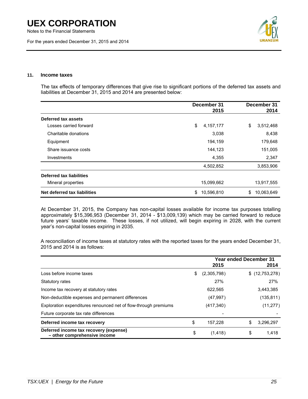Notes to the Financial Statements

For the years ended December 31, 2015 and 2014



### **11. Income taxes**

The tax effects of temporary differences that give rise to significant portions of the deferred tax assets and liabilities at December 31, 2015 and 2014 are presented below:

|                              | December 31<br>2015 | December 31<br>2014 |
|------------------------------|---------------------|---------------------|
| Deferred tax assets          |                     |                     |
| Losses carried forward       | \$<br>4,157,177     | \$<br>3,512,468     |
| Charitable donations         | 3,038               | 8,438               |
| Equipment                    | 194,159             | 179,648             |
| Share issuance costs         | 144,123             | 151,005             |
| Investments                  | 4,355               | 2,347               |
|                              | 4,502,852           | 3,853,906           |
| Deferred tax liabilities     |                     |                     |
| Mineral properties           | 15,099,662          | 13,917,555          |
| Net deferred tax liabilities | 10,596,810<br>\$    | \$<br>10,063,649    |

At December 31, 2015, the Company has non-capital losses available for income tax purposes totalling approximately \$15,396,953 (December 31, 2014 - \$13,009,139) which may be carried forward to reduce future years' taxable income. These losses, if not utilized, will begin expiring in 2028, with the current year's non-capital losses expiring in 2035.

A reconciliation of income taxes at statutory rates with the reported taxes for the years ended December 31, 2015 and 2014 is as follows:

|                                                                        |                   | <b>Year ended December 31</b> |                |  |
|------------------------------------------------------------------------|-------------------|-------------------------------|----------------|--|
|                                                                        | 2015              |                               | 2014           |  |
| Loss before income taxes                                               | \$<br>(2,305,798) |                               | \$(12,753,278) |  |
| Statutory rates                                                        | 27%               |                               | 27%            |  |
| Income tax recovery at statutory rates                                 | 622,565           |                               | 3,443,385      |  |
| Non-deductible expenses and permanent differences                      | (47, 997)         |                               | (135, 811)     |  |
| Exploration expenditures renounced net of flow-through premiums        | (417, 340)        |                               | (11, 277)      |  |
| Future corporate tax rate differences                                  |                   |                               |                |  |
| Deferred income tax recovery                                           | \$<br>157.228     | \$                            | 3,296,297      |  |
| Deferred income tax recovery (expense)<br>- other comprehensive income | \$<br>(1, 418)    | \$                            | 1,418          |  |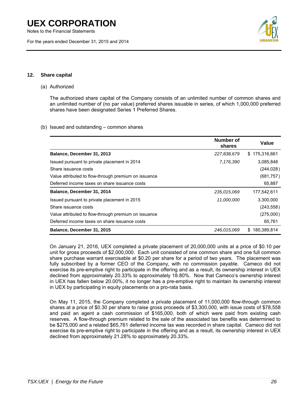Notes to the Financial Statements

For the years ended December 31, 2015 and 2014



### **12. Share capital**

### (a) Authorized

The authorized share capital of the Company consists of an unlimited number of common shares and an unlimited number of (no par value) preferred shares issuable in series, of which 1,000,000 preferred shares have been designated Series 1 Preferred Shares.

### (b) Issued and outstanding – common shares

|                                                      | Number of<br>shares | Value             |
|------------------------------------------------------|---------------------|-------------------|
| Balance, December 31, 2013                           | 227,838,679         | 175,316,661<br>S. |
| Issued pursuant to private placement in 2014         | 7,176,390           | 3,085,848         |
| Share issuance costs                                 |                     | (244, 028)        |
| Value attributed to flow-through premium on issuance |                     | (681, 757)        |
| Deferred income taxes on share issuance costs        |                     | 65,887            |
| Balance, December 31, 2014                           | 235,015,069         | 177,542,611       |
| Issued pursuant to private placement in 2015         | 11,000,000          | 3.300.000         |
| Share issuance costs                                 |                     | (243, 558)        |
| Value attributed to flow-through premium on issuance |                     | (275,000)         |
| Deferred income taxes on share issuance costs        |                     | 65,761            |
| Balance, December 31, 2015                           | 246,015,069         | 180,389,814<br>S  |

On January 21, 2016, UEX completed a private placement of 20,000,000 units at a price of \$0.10 per unit for gross proceeds of \$2,000,000. Each unit consisted of one common share and one full common share purchase warrant exercisable at \$0.20 per share for a period of two years. The placement was fully subscribed by a former CEO of the Company, with no commission payable. Cameco did not exercise its pre-emptive right to participate in the offering and as a result, its ownership interest in UEX declined from approximately 20.33% to approximately 18.80%. Now that Cameco's ownership interest in UEX has fallen below 20.00%, it no longer has a pre-emptive right to maintain its ownership interest in UEX by participating in equity placements on a pro-rata basis.

On May 11, 2015, the Company completed a private placement of 11,000,000 flow-through common shares at a price of \$0.30 per share to raise gross proceeds of \$3,300,000, with issue costs of \$78,558 and paid an agent a cash commission of \$165,000, both of which were paid from existing cash reserves. A flow-through premium related to the sale of the associated tax benefits was determined to be \$275,000 and a related \$65,761 deferred income tax was recorded in share capital. Cameco did not exercise its pre-emptive right to participate in the offering and as a result, its ownership interest in UEX declined from approximately 21.28% to approximately 20.33%.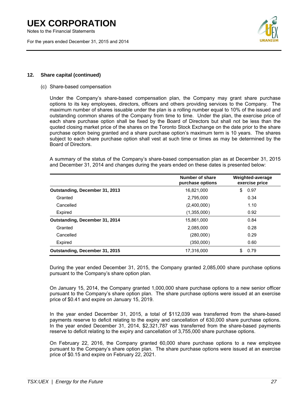Notes to the Financial Statements

For the years ended December 31, 2015 and 2014



### **12. Share capital (continued)**

### (c) Share-based compensation

Under the Company's share-based compensation plan, the Company may grant share purchase options to its key employees, directors, officers and others providing services to the Company. The maximum number of shares issuable under the plan is a rolling number equal to 10% of the issued and outstanding common shares of the Company from time to time. Under the plan, the exercise price of each share purchase option shall be fixed by the Board of Directors but shall not be less than the quoted closing market price of the shares on the Toronto Stock Exchange on the date prior to the share purchase option being granted and a share purchase option's maximum term is 10 years. The shares subject to each share purchase option shall vest at such time or times as may be determined by the Board of Directors.

A summary of the status of the Company's share-based compensation plan as at December 31, 2015 and December 31, 2014 and changes during the years ended on these dates is presented below:

|                                | Number of share<br>purchase options | Weighted-average<br>exercise price |
|--------------------------------|-------------------------------------|------------------------------------|
| Outstanding, December 31, 2013 | 16,821,000                          | 0.97<br>\$                         |
| Granted                        | 2.795.000                           | 0.34                               |
| Cancelled                      | (2,400,000)                         | 1.10                               |
| Expired                        | (1,355,000)                         | 0.92                               |
| Outstanding, December 31, 2014 | 15.861.000                          | 0.84                               |
| Granted                        | 2,085,000                           | 0.28                               |
| Cancelled                      | (280,000)                           | 0.29                               |
| Expired                        | (350,000)                           | 0.60                               |
| Outstanding, December 31, 2015 | 17.316.000                          | \$<br>0.79                         |

During the year ended December 31, 2015, the Company granted 2,085,000 share purchase options pursuant to the Company's share option plan.

On January 15, 2014, the Company granted 1,000,000 share purchase options to a new senior officer pursuant to the Company's share option plan. The share purchase options were issued at an exercise price of \$0.41 and expire on January 15, 2019.

In the year ended December 31, 2015, a total of \$112,039 was transferred from the share-based payments reserve to deficit relating to the expiry and cancellation of 630,000 share purchase options. In the year ended December 31, 2014, \$2,321,787 was transferred from the share-based payments reserve to deficit relating to the expiry and cancellation of 3,755,000 share purchase options.

On February 22, 2016, the Company granted 60,000 share purchase options to a new employee pursuant to the Company's share option plan. The share purchase options were issued at an exercise price of \$0.15 and expire on February 22, 2021.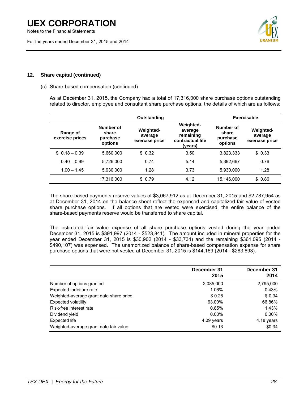Notes to the Financial Statements

For the years ended December 31, 2015 and 2014



### **12. Share capital (continued)**

### (c) Share-based compensation (continued)

As at December 31, 2015, the Company had a total of 17,316,000 share purchase options outstanding related to director, employee and consultant share purchase options, the details of which are as follows:

| Outstanding                 |                                           |                                               | Exercisable                                                             |                                           |                                               |
|-----------------------------|-------------------------------------------|-----------------------------------------------|-------------------------------------------------------------------------|-------------------------------------------|-----------------------------------------------|
| Range of<br>exercise prices | Number of<br>share<br>purchase<br>options | <b>Weighted-</b><br>average<br>exercise price | <b>Weighted-</b><br>average<br>remaining<br>contractual life<br>(years) | Number of<br>share<br>purchase<br>options | <b>Weighted-</b><br>average<br>exercise price |
| $$0.18 - 0.39$              | 5,660,000                                 | \$0.32                                        | 3.50                                                                    | 3,823,333                                 | \$0.33                                        |
| $0.40 - 0.99$               | 5.726.000                                 | 0.74                                          | 5.14                                                                    | 5,392,667                                 | 0.76                                          |
| $1.00 - 1.45$               | 5.930.000                                 | 1.28                                          | 3.73                                                                    | 5.930.000                                 | 1.28                                          |
|                             | 17.316.000                                | \$0.79                                        | 4.12                                                                    | 15,146,000                                | \$0.86                                        |

The share-based payments reserve values of \$3,067,912 as at December 31, 2015 and \$2,787,954 as at December 31, 2014 on the balance sheet reflect the expensed and capitalized fair value of vested share purchase options. If all options that are vested were exercised, the entire balance of the share-based payments reserve would be transferred to share capital.

The estimated fair value expense of all share purchase options vested during the year ended December 31, 2015 is \$391,997 (2014 - \$523,841). The amount included in mineral properties for the year ended December 31, 2015 is \$30,902 (2014 - \$33,734) and the remaining \$361,095 (2014 - \$490,107) was expensed. The unamortized balance of share-based compensation expense for share purchase options that were not vested at December 31, 2015 is \$144,169 (2014 - \$283,693).

|                                         | December 31<br>2015 | December 31<br>2014 |
|-----------------------------------------|---------------------|---------------------|
| Number of options granted               | 2,085,000           | 2,795,000           |
| Expected forfeiture rate                | 1.06%               | 0.43%               |
| Weighted-average grant date share price | \$0.28              | \$0.34              |
| <b>Expected volatility</b>              | 63.00%              | 66.86%              |
| Risk-free interest rate                 | 0.85%               | 1.43%               |
| Dividend yield                          | $0.00\%$            | $0.00\%$            |
| Expected life                           | 4.09 years          | 4.18 years          |
| Weighted-average grant date fair value  | \$0.13              | \$0.34              |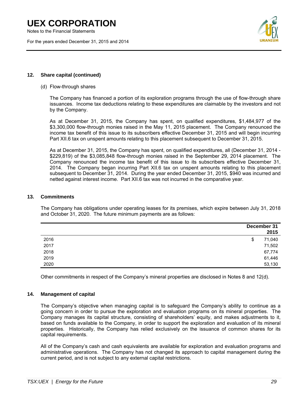Notes to the Financial Statements

For the years ended December 31, 2015 and 2014



### **12. Share capital (continued)**

### (d) Flow-through shares

The Company has financed a portion of its exploration programs through the use of flow-through share issuances. Income tax deductions relating to these expenditures are claimable by the investors and not by the Company.

As at December 31, 2015, the Company has spent, on qualified expenditures, \$1,484,977 of the \$3,300,000 flow-through monies raised in the May 11, 2015 placement. The Company renounced the income tax benefit of this issue to its subscribers effective December 31, 2015 and will begin incurring Part XII.6 tax on unspent amounts relating to this placement subsequent to December 31, 2015.

As at December 31, 2015, the Company has spent, on qualified expenditures, all (December 31, 2014 - \$229,819) of the \$3,085,848 flow-through monies raised in the September 29, 2014 placement. The Company renounced the income tax benefit of this issue to its subscribers effective December 31, 2014. The Company began incurring Part XII.6 tax on unspent amounts relating to this placement subsequent to December 31, 2014. During the year ended December 31, 2015, \$940 was incurred and netted against interest income. Part XII.6 tax was not incurred in the comparative year.

### **13. Commitments**

The Company has obligations under operating leases for its premises, which expire between July 31, 2018 and October 31, 2020. The future minimum payments are as follows:

|      | December 31<br>2015 |
|------|---------------------|
| 2016 | 71,040<br>\$        |
| 2017 | 71,502              |
| 2018 | 67,774              |
| 2019 | 61,446              |
| 2020 | 53,130              |

Other commitments in respect of the Company's mineral properties are disclosed in Notes 8 and 12(d).

### **14. Management of capital**

The Company's objective when managing capital is to safeguard the Company's ability to continue as a going concern in order to pursue the exploration and evaluation programs on its mineral properties. The Company manages its capital structure, consisting of shareholders' equity, and makes adjustments to it, based on funds available to the Company, in order to support the exploration and evaluation of its mineral properties. Historically, the Company has relied exclusively on the issuance of common shares for its capital requirements.

All of the Company's cash and cash equivalents are available for exploration and evaluation programs and administrative operations. The Company has not changed its approach to capital management during the current period, and is not subject to any external capital restrictions.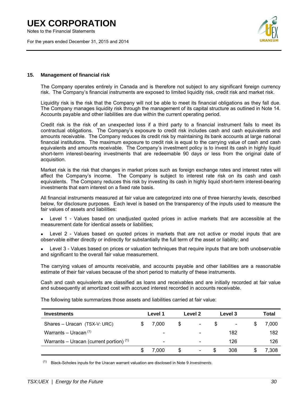Notes to the Financial Statements

For the years ended December 31, 2015 and 2014



### **15. Management of financial risk**

The Company operates entirely in Canada and is therefore not subject to any significant foreign currency risk. The Company's financial instruments are exposed to limited liquidity risk, credit risk and market risk.

Liquidity risk is the risk that the Company will not be able to meet its financial obligations as they fall due. The Company manages liquidity risk through the management of its capital structure as outlined in Note 14. Accounts payable and other liabilities are due within the current operating period.

Credit risk is the risk of an unexpected loss if a third party to a financial instrument fails to meet its contractual obligations. The Company's exposure to credit risk includes cash and cash equivalents and amounts receivable. The Company reduces its credit risk by maintaining its bank accounts at large national financial institutions. The maximum exposure to credit risk is equal to the carrying value of cash and cash equivalents and amounts receivable. The Company's investment policy is to invest its cash in highly liquid short-term interest-bearing investments that are redeemable 90 days or less from the original date of acquisition.

Market risk is the risk that changes in market prices such as foreign exchange rates and interest rates will affect the Company's income. The Company is subject to interest rate risk on its cash and cash equivalents. The Company reduces this risk by investing its cash in highly liquid short-term interest-bearing investments that earn interest on a fixed rate basis.

All financial instruments measured at fair value are categorized into one of three hierarchy levels, described below, for disclosure purposes. Each level is based on the transparency of the inputs used to measure the fair values of assets and liabilities:

- Level 1 Values based on unadjusted quoted prices in active markets that are accessible at the measurement date for identical assets or liabilities;
- Level 2 Values based on quoted prices in markets that are not active or model inputs that are observable either directly or indirectly for substantially the full term of the asset or liability; and
- Level 3 Values based on prices or valuation techniques that require inputs that are both unobservable and significant to the overall fair value measurement.

The carrying values of amounts receivable, and accounts payable and other liabilities are a reasonable estimate of their fair values because of the short period to maturity of these instruments.

Cash and cash equivalents are classified as loans and receivables and are initially recorded at fair value and subsequently at amortized cost with accrued interest recorded in accounts receivable.

| <b>Investments</b>                        |  | Level 1                      | Level 2                        |    | Level 3                  | Total |
|-------------------------------------------|--|------------------------------|--------------------------------|----|--------------------------|-------|
| Shares - Uracan (TSX-V: URC)              |  | 7.000                        | \$<br>$\overline{\phantom{a}}$ | S  | $\overline{\phantom{a}}$ | 7.000 |
| Warrants – Uracan $(1)$                   |  | ۰                            |                                |    | 182                      | 182   |
| Warrants – Uracan (current portion) $(1)$ |  | $\qquad \qquad \blacksquare$ | -                              |    | 126                      | 126   |
|                                           |  | 7.000                        | \$<br>$\overline{\phantom{a}}$ | \$ | 308                      | 7,308 |

The following table summarizes those assets and liabilities carried at fair value:

(1) Black-Scholes inputs for the Uracan warrant valuation are disclosed in Note 9 *Investments*.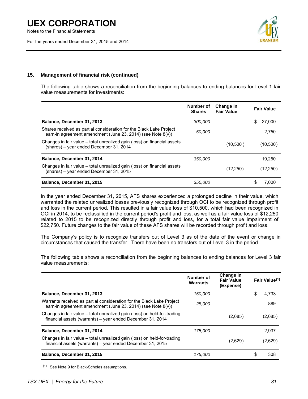Notes to the Financial Statements

For the years ended December 31, 2015 and 2014



### **15. Management of financial risk (continued)**

The following table shows a reconciliation from the beginning balances to ending balances for Level 1 fair value measurements for investments:

|                                                                                                                                    | Number of<br><b>Shares</b> | Change in<br><b>Fair Value</b> |    | <b>Fair Value</b> |
|------------------------------------------------------------------------------------------------------------------------------------|----------------------------|--------------------------------|----|-------------------|
| Balance, December 31, 2013                                                                                                         | 300,000                    |                                | S  | 27,000            |
| Shares received as partial consideration for the Black Lake Project<br>earn-in agreement amendment (June 23, 2014) (see Note 8(v)) | 50,000                     |                                |    | 2.750             |
| Changes in fair value – total unrealized gain (loss) on financial assets<br>(shares) – year ended December 31, 2014                |                            | (10,500)                       |    | (10,500)          |
| Balance, December 31, 2014                                                                                                         | 350,000                    |                                |    | 19.250            |
| Changes in fair value – total unrealized gain (loss) on financial assets<br>(shares) – year ended December 31, 2015                |                            | (12, 250)                      |    | (12,250)          |
| Balance, December 31, 2015                                                                                                         | 350,000                    |                                | S. | 7.000             |

In the year ended December 31, 2015, AFS shares experienced a prolonged decline in their value, which warranted the related unrealized losses previously recognized through OCI to be recognized through profit and loss in the current period. This resulted in a fair value loss of \$10,500, which had been recognized in OCI in 2014, to be reclassified in the current period's profit and loss, as well as a fair value loss of \$12,250 related to 2015 to be recognized directly through profit and loss, for a total fair value impairment of \$22,750. Future changes to the fair value of these AFS shares will be recorded through profit and loss.

The Company's policy is to recognize transfers out of Level 3 as of the date of the event or change in circumstances that caused the transfer. There have been no transfers out of Level 3 in the period.

The following table shows a reconciliation from the beginning balances to ending balances for Level 3 fair value measurements:

|                                                                                                                                        | Number of<br><b>Warrants</b> | Change in<br><b>Fair Value</b><br>(Expense) |    | Fair Value <sup>(1)</sup> |
|----------------------------------------------------------------------------------------------------------------------------------------|------------------------------|---------------------------------------------|----|---------------------------|
| Balance, December 31, 2013                                                                                                             | 150,000                      |                                             | S  | 4.733                     |
| Warrants received as partial consideration for the Black Lake Project<br>earn-in agreement amendment (June 23, 2014) (see Note 8(v))   | 25,000                       |                                             |    | 889                       |
| Changes in fair value – total unrealized gain (loss) on held-for-trading<br>financial assets (warrants) - year ended December 31, 2014 |                              | (2,685)                                     |    | (2,685)                   |
| Balance, December 31, 2014                                                                                                             | 175,000                      |                                             |    | 2.937                     |
| Changes in fair value – total unrealized gain (loss) on held-for-trading<br>financial assets (warrants) - year ended December 31, 2015 |                              | (2,629)                                     |    | (2,629)                   |
| Balance, December 31, 2015                                                                                                             | 175,000                      |                                             | \$ | 308                       |

(1) See Note 9 for Black-Scholes assumptions.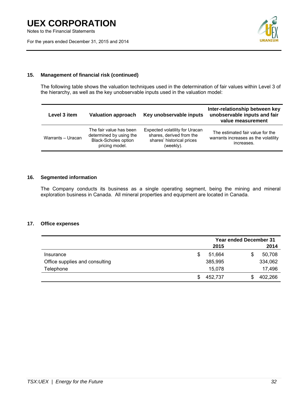Notes to the Financial Statements

For the years ended December 31, 2015 and 2014



### **15. Management of financial risk (continued)**

The following table shows the valuation techniques used in the determination of fair values within Level 3 of the hierarchy, as well as the key unobservable inputs used in the valuation model:

| Level 3 item      | <b>Valuation approach</b>                                                                           | Key unobservable inputs                                                                              | Inter-relationship between key<br>unobservable inputs and fair<br>value measurement    |
|-------------------|-----------------------------------------------------------------------------------------------------|------------------------------------------------------------------------------------------------------|----------------------------------------------------------------------------------------|
| Warrants - Uracan | The fair value has been<br>determined by using the<br><b>Black-Scholes option</b><br>pricing model. | Expected volatility for Uracan<br>shares, derived from the<br>shares' historical prices<br>(weekly). | The estimated fair value for the<br>warrants increases as the volatility<br>increases. |

### **16. Segmented information**

The Company conducts its business as a single operating segment, being the mining and mineral exploration business in Canada. All mineral properties and equipment are located in Canada.

### **17. Office expenses**

|                                | <b>Year ended December 31</b> |   |         |
|--------------------------------|-------------------------------|---|---------|
|                                | 2015                          |   | 2014    |
| Insurance                      | 51.664                        | S | 50,708  |
| Office supplies and consulting | 385,995                       |   | 334,062 |
| Telephone                      | 15,078                        |   | 17,496  |
|                                | 452,737                       |   | 402,266 |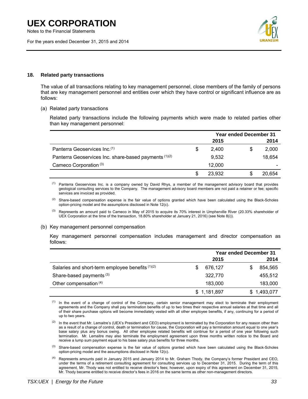Notes to the Financial Statements

For the years ended December 31, 2015 and 2014



### **18. Related party transactions**

The value of all transactions relating to key management personnel, close members of the family of persons that are key management personnel and entities over which they have control or significant influence are as follows:

(a) Related party transactions

Related party transactions include the following payments which were made to related parties other than key management personnel:

|                                                       | <b>Year ended December 31</b> |        |  |        |
|-------------------------------------------------------|-------------------------------|--------|--|--------|
|                                                       |                               | 2015   |  | 2014   |
| Panterra Geoservices Inc. <sup>(1)</sup>              | S                             | 2.400  |  | 2,000  |
| Panterra Geoservices Inc. share-based payments (1)(2) |                               | 9,532  |  | 18.654 |
| Cameco Corporation <sup>(3)</sup>                     |                               | 12,000 |  |        |
|                                                       |                               | 23.932 |  | 20.654 |

<sup>(1)</sup> Panterra Geoservices Inc. is a company owned by David Rhys, a member of the management advisory board that provides geological consulting services to the Company. The management advisory board members are not paid a retainer or fee; specific services are invoiced as provided.

<sup>(2)</sup> Share-based compensation expense is the fair value of options granted which have been calculated using the Black-Scholes option-pricing model and the assumptions disclosed in Note 12(c).

<sup>(3)</sup> Represents an amount paid to Cameco in May of 2015 to acquire its 70% interest in Umpherville River (20.33% shareholder of UEX Corporation at the time of the transaction, 18.80% shareholder at January 21, 2016) (see Note 8(i)).

#### (b) Key management personnel compensation

Key management personnel compensation includes management and director compensation as follows:

|                                                  | <b>Year ended December 31</b> |             |  |             |
|--------------------------------------------------|-------------------------------|-------------|--|-------------|
|                                                  |                               | 2015        |  | 2014        |
| Salaries and short-term employee benefits (1)(2) |                               | 676,127     |  | 854,565     |
| Share-based payments <sup>(3)</sup>              |                               | 322,770     |  | 455,512     |
| Other compensation (4)                           |                               | 183,000     |  | 183,000     |
|                                                  |                               | \$1,181,897 |  | \$1,493,077 |

(1) In the event of a change of control of the Company, certain senior management may elect to terminate their employment agreements and the Company shall pay termination benefits of up to two times their respective annual salaries at that time and all of their share purchase options will become immediately vested with all other employee benefits, if any, continuing for a period of up to two years.

- <sup>(2)</sup> In the event that Mr. Lemaitre's (UEX's President and CEO) employment is terminated by the Corporation for any reason other than as a result of a change of control, death or termination for cause, the Corporation will pay a termination amount equal to one year's base salary plus any bonus owing. All other employee related benefits will continue for a period of one year following such termination. Mr. Lemaitre may also terminate the employment agreement upon three months written notice to the Board and receive a lump sum payment equal to his base salary plus benefits for three months.
- $<sup>(3)</sup>$  Share-based compensation expense is the fair value of options granted which have been calculated using the Black-Scholes</sup> option-pricing model and the assumptions disclosed in Note 12(c).
- (4) Represents amounts paid in January 2015 and January 2014 to Mr. Graham Thody, the Company's former President and CEO, under the terms of a retirement consulting agreement for consulting services up to December 31, 2015. During the term of this agreement, Mr. Thody was not entitled to receive director's fees; however, upon expiry of this agreement on December 31, 2015, Mr. Thody became entitled to receive director's fees in 2016 on the same terms as other non-management directors.